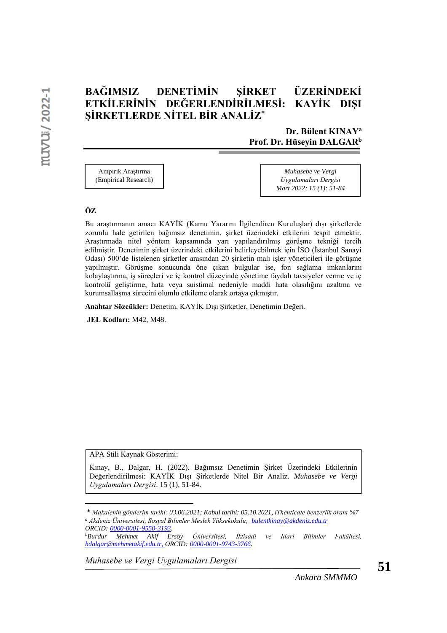# **BAĞIMSIZ DENETİMİN ŞİRKET ÜZERİNDEKİ ETKİLERİNİN DEĞERLENDİRİLMESİ: KAYİK DIŞI ŞİRKETLERDE NİTEL BİR ANALİZ\***

## **Dr. Bülent KINAY<sup>a</sup> Prof. Dr. Hüseyin DALGAR<sup>b</sup>**

Ampirik Araştırma (Empirical Research)

*Muhasebe ve Vergi Uygulamaları Dergisi Mart 2022; 15 (1): 51-84*

#### **ÖZ**

Bu araştırmanın amacı KAYİK (Kamu Yararını İlgilendiren Kuruluşlar) dışı şirketlerde zorunlu hale getirilen bağımsız denetimin, şirket üzerindeki etkilerini tespit etmektir. Araştırmada nitel yöntem kapsamında yarı yapılandırılmış görüşme tekniği tercih edilmiştir. Denetimin şirket üzerindeki etkilerini belirleyebilmek için İSO (İstanbul Sanayi Odası) 500'de listelenen şirketler arasından 20 şirketin mali işler yöneticileri ile görüşme yapılmıştır. Görüşme sonucunda öne çıkan bulgular ise, fon sağlama imkanlarını kolaylaştırma, iş süreçleri ve iç kontrol düzeyinde yönetime faydalı tavsiyeler verme ve iç kontrolü geliştirme, hata veya suistimal nedeniyle maddi hata olasılığını azaltma ve kurumsallaşma sürecini olumlu etkileme olarak ortaya çıkmıştır.

**Anahtar Sözcükler:** Denetim, KAYİK Dışı Şirketler, Denetimin Değeri.

**JEL Kodları:** M42, M48.

APA Stili Kaynak Gösterimi:

Kınay, B., Dalgar, H. (2022). Bağımsız Denetimin Şirket Üzerindeki Etkilerinin Değerlendirilmesi: KAYİK Dışı Şirketlerde Nitel Bir Analiz. *Muhasebe ve Vergi Uygulamaları Dergisi*. 15 (1), 51-84.

<sup>\*</sup> *Makalenin gönderim tarihi: 03.06.2021; Kabul tarihi: 05.10.2021, iThenticate benzerlik oranı %7 <sup>a</sup> Akdeniz Üniversitesi, Sosyal Bilimler Meslek Yüksekokulu[, bulentkinay@akdeniz.edu.tr](mailto:hikmet.ulusan@bozok.edu.tr)  ORCID: 0000-0001-9550-3193.*

*<sup>b</sup>Burdur Mehmet Akif Ersoy Üniversitesi, İktisadi ve İdari Bilimler Fakültesi, [hdalgar@mehmetakif.edu.tr,](mailto:hdalgar@mehmetakif.edu.tr) ORCID: 0000-0001-9743-3766.*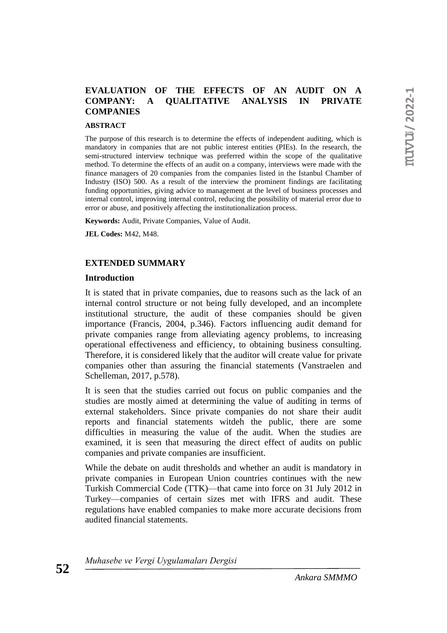## **EVALUATION OF THE EFFECTS OF AN AUDIT ON A COMPANY: A QUALITATIVE ANALYSIS IN PRIVATE COMPANIES**

#### **ABSTRACT**

The purpose of this research is to determine the effects of independent auditing, which is mandatory in companies that are not public interest entities (PIEs). In the research, the semi-structured interview technique was preferred within the scope of the qualitative method. To determine the effects of an audit on a company, interviews were made with the finance managers of 20 companies from the companies listed in the Istanbul Chamber of Industry (ISO) 500. As a result of the interview the prominent findings are facilitating funding opportunities, giving advice to management at the level of business processes and internal control, improving internal control, reducing the possibility of material error due to error or abuse, and positively affecting the institutionalization process.

**Keywords:** Audit, Private Companies, Value of Audit.

**JEL Codes:** M42, M48.

#### **EXTENDED SUMMARY**

#### **Introduction**

It is stated that in private companies, due to reasons such as the lack of an internal control structure or not being fully developed, and an incomplete institutional structure, the audit of these companies should be given importance (Francis, 2004, p.346). Factors influencing audit demand for private companies range from alleviating agency problems, to increasing operational effectiveness and efficiency, to obtaining business consulting. Therefore, it is considered likely that the auditor will create value for private companies other than assuring the financial statements (Vanstraelen and Schelleman, 2017, p.578).

It is seen that the studies carried out focus on public companies and the studies are mostly aimed at determining the value of auditing in terms of external stakeholders. Since private companies do not share their audit reports and financial statements witdeh the public, there are some difficulties in measuring the value of the audit. When the studies are examined, it is seen that measuring the direct effect of audits on public companies and private companies are insufficient.

While the debate on audit thresholds and whether an audit is mandatory in private companies in European Union countries continues with the new Turkish Commercial Code (TTK)—that came into force on 31 July 2012 in Turkey—companies of certain sizes met with IFRS and audit. These regulations have enabled companies to make more accurate decisions from audited financial statements.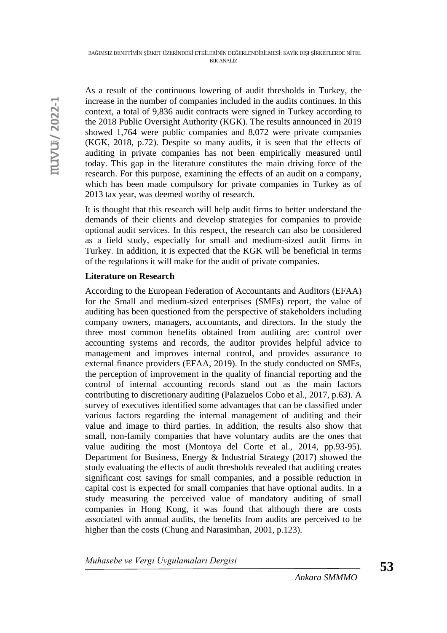As a result of the continuous lowering of audit thresholds in Turkey, the increase in the number of companies included in the audits continues. In this context, a total of 9,836 audit contracts were signed in Turkey according to the 2018 Public Oversight Authority (KGK). The results announced in 2019 showed 1,764 were public companies and 8,072 were private companies (KGK, 2018, p.72). Despite so many audits, it is seen that the effects of auditing in private companies has not been empirically measured until today. This gap in the literature constitutes the main driving force of the research. For this purpose, examining the effects of an audit on a company, which has been made compulsory for private companies in Turkey as of 2013 tax year, was deemed worthy of research.

It is thought that this research will help audit firms to better understand the demands of their clients and develop strategies for companies to provide optional audit services. In this respect, the research can also be considered as a field study, especially for small and medium-sized audit firms in Turkey. In addition, it is expected that the KGK will be beneficial in terms of the regulations it will make for the audit of private companies.

## **Literature on Research**

According to the European Federation of Accountants and Auditors (EFAA) for the Small and medium-sized enterprises (SMEs) report, the value of auditing has been questioned from the perspective of stakeholders including company owners, managers, accountants, and directors. In the study the three most common benefits obtained from auditing are: control over accounting systems and records, the auditor provides helpful advice to management and improves internal control, and provides assurance to external finance providers (EFAA, 2019). In the study conducted on SMEs, the perception of improvement in the quality of financial reporting and the control of internal accounting records stand out as the main factors contributing to discretionary auditing (Palazuelos Cobo et al., 2017, p.63). A survey of executives identified some advantages that can be classified under various factors regarding the internal management of auditing and their value and image to third parties. In addition, the results also show that small, non-family companies that have voluntary audits are the ones that value auditing the most (Montoya del Corte et al., 2014, pp.93-95). Department for Business, Energy & Industrial Strategy (2017) showed the study evaluating the effects of audit thresholds revealed that auditing creates significant cost savings for small companies, and a possible reduction in capital cost is expected for small companies that have optional audits. In a study measuring the perceived value of mandatory auditing of small companies in Hong Kong, it was found that although there are costs associated with annual audits, the benefits from audits are perceived to be higher than the costs (Chung and Narasimhan, 2001, p.123).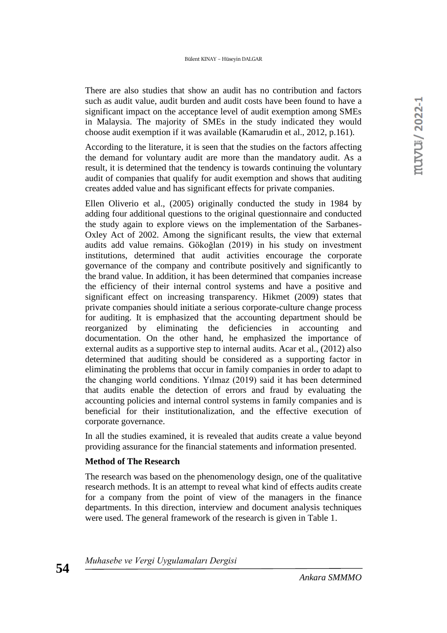There are also studies that show an audit has no contribution and factors such as audit value, audit burden and audit costs have been found to have a significant impact on the acceptance level of audit exemption among SMEs in Malaysia. The majority of SMEs in the study indicated they would choose audit exemption if it was available (Kamarudin et al., 2012, p.161).

According to the literature, it is seen that the studies on the factors affecting the demand for voluntary audit are more than the mandatory audit. As a result, it is determined that the tendency is towards continuing the voluntary audit of companies that qualify for audit exemption and shows that auditing creates added value and has significant effects for private companies.

Ellen Oliverio et al., (2005) originally conducted the study in 1984 by adding four additional questions to the original questionnaire and conducted the study again to explore views on the implementation of the Sarbanes-Oxley Act of 2002. Among the significant results, the view that external audits add value remains. Gökoğlan (2019) in his study on investment institutions, determined that audit activities encourage the corporate governance of the company and contribute positively and significantly to the brand value. In addition, it has been determined that companies increase the efficiency of their internal control systems and have a positive and significant effect on increasing transparency. Hikmet (2009) states that private companies should initiate a serious corporate-culture change process for auditing. It is emphasized that the accounting department should be reorganized by eliminating the deficiencies in accounting and documentation. On the other hand, he emphasized the importance of external audits as a supportive step to internal audits. Acar et al., (2012) also determined that auditing should be considered as a supporting factor in eliminating the problems that occur in family companies in order to adapt to the changing world conditions. Yılmaz (2019) said it has been determined that audits enable the detection of errors and fraud by evaluating the accounting policies and internal control systems in family companies and is beneficial for their institutionalization, and the effective execution of corporate governance.

In all the studies examined, it is revealed that audits create a value beyond providing assurance for the financial statements and information presented.

## **Method of The Research**

The research was based on the phenomenology design, one of the qualitative research methods. It is an attempt to reveal what kind of effects audits create for a company from the point of view of the managers in the finance departments. In this direction, interview and document analysis techniques were used. The general framework of the research is given in Table 1.

*Muhasebe ve Vergi Uygulamaları Dergisi*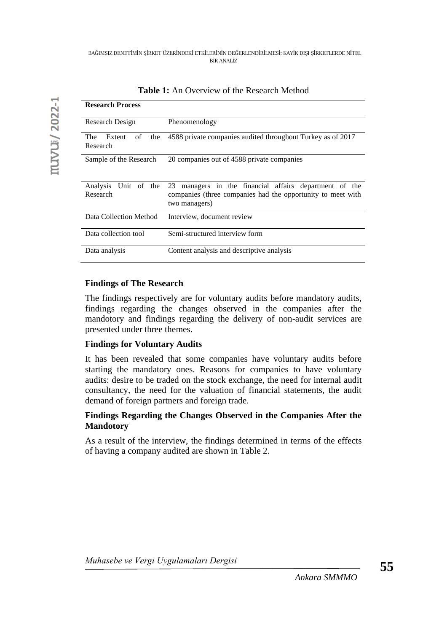| <b>Research Process</b>                       |                                                                                                                                           |
|-----------------------------------------------|-------------------------------------------------------------------------------------------------------------------------------------------|
| Research Design                               | Phenomenology                                                                                                                             |
| <b>The</b><br>Extent<br>the<br>of<br>Research | 4588 private companies audited throughout Turkey as of 2017                                                                               |
| Sample of the Research                        | 20 companies out of 4588 private companies                                                                                                |
| <b>Analysis</b><br>Unit of the<br>Research    | managers in the financial affairs department of the<br>23<br>companies (three companies had the opportunity to meet with<br>two managers) |
| Data Collection Method                        | Interview, document review                                                                                                                |
| Data collection tool                          | Semi-structured interview form                                                                                                            |
| Data analysis                                 | Content analysis and descriptive analysis                                                                                                 |

**Table 1:** An Overview of the Research Method

## **Findings of The Research**

The findings respectively are for voluntary audits before mandatory audits, findings regarding the changes observed in the companies after the mandotory and findings regarding the delivery of non-audit services are presented under three themes.

### **Findings for Voluntary Audits**

It has been revealed that some companies have voluntary audits before starting the mandatory ones. Reasons for companies to have voluntary audits: desire to be traded on the stock exchange, the need for internal audit consultancy, the need for the valuation of financial statements, the audit demand of foreign partners and foreign trade.

## **Findings Regarding the Changes Observed in the Companies After the Mandotory**

As a result of the interview, the findings determined in terms of the effects of having a company audited are shown in Table 2.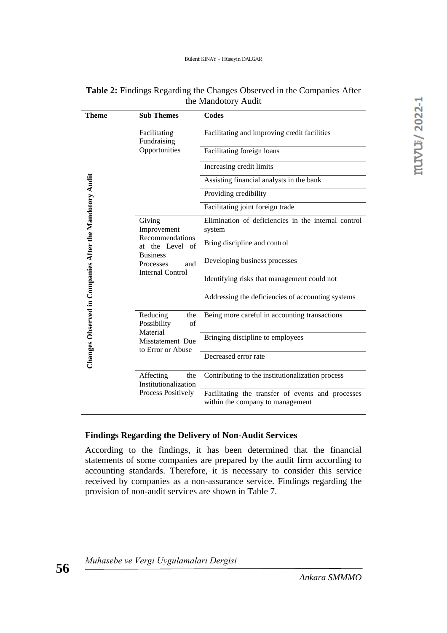| <b>Theme</b>                                            | <b>Sub Themes</b>                                                                                  | <b>Codes</b>                                                                          |
|---------------------------------------------------------|----------------------------------------------------------------------------------------------------|---------------------------------------------------------------------------------------|
|                                                         | Facilitating<br>Fundraising                                                                        | Facilitating and improving credit facilities                                          |
|                                                         | Opportunities                                                                                      | Facilitating foreign loans                                                            |
|                                                         |                                                                                                    | Increasing credit limits                                                              |
|                                                         |                                                                                                    | Assisting financial analysts in the bank                                              |
|                                                         |                                                                                                    | Providing credibility                                                                 |
|                                                         |                                                                                                    | Facilitating joint foreign trade                                                      |
|                                                         | Giving<br>Improvement<br>Recommendations<br>at the Level of<br><b>Business</b><br>Processes<br>and | Elimination of deficiencies in the internal control<br>system                         |
|                                                         |                                                                                                    | Bring discipline and control                                                          |
|                                                         |                                                                                                    | Developing business processes                                                         |
|                                                         | <b>Internal Control</b>                                                                            | Identifying risks that management could not                                           |
|                                                         |                                                                                                    | Addressing the deficiencies of accounting systems                                     |
| Changes Observed in Companies After the Mandotory Audit | Reducing<br>the<br>Possibility<br>of<br>Material                                                   | Being more careful in accounting transactions                                         |
|                                                         | Misstatement Due<br>to Error or Abuse                                                              | Bringing discipline to employees                                                      |
|                                                         |                                                                                                    | Decreased error rate                                                                  |
|                                                         | Affecting<br>the<br>Institutionalization                                                           | Contributing to the institutionalization process                                      |
|                                                         | Process Positively                                                                                 | Facilitating the transfer of events and processes<br>within the company to management |

| <b>Table 2:</b> Findings Regarding the Changes Observed in the Companies After |  |
|--------------------------------------------------------------------------------|--|
| the Mandotory Audit                                                            |  |

#### **Findings Regarding the Delivery of Non-Audit Services**

According to the findings, it has been determined that the financial statements of some companies are prepared by the audit firm according to accounting standards. Therefore, it is necessary to consider this service received by companies as a non-assurance service. Findings regarding the provision of non-audit services are shown in Table 7.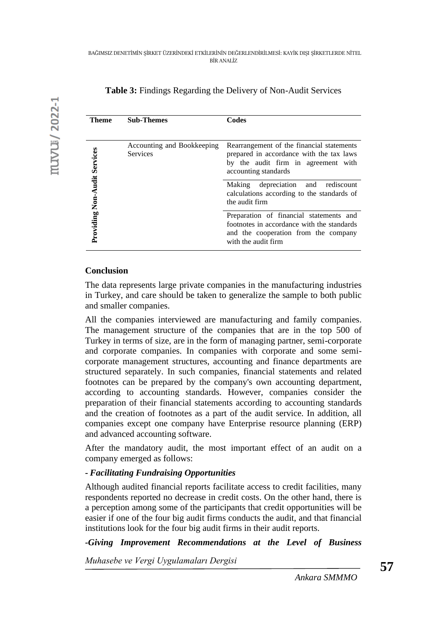| Theme                        | <b>Sub-Themes</b>                             | Codes                                                                                                                                                |
|------------------------------|-----------------------------------------------|------------------------------------------------------------------------------------------------------------------------------------------------------|
|                              | Accounting and Bookkeeping<br><b>Services</b> | Rearrangement of the financial statements<br>prepared in accordance with the tax laws<br>by the audit firm in agreement with<br>accounting standards |
|                              |                                               | depreciation and rediscount<br><b>Making</b><br>calculations according to the standards of<br>the audit firm                                         |
| Providing Non-Audit Services |                                               | Preparation of financial statements and<br>footnotes in accordance with the standards<br>and the cooperation from the company<br>with the audit firm |

## **Table 3:** Findings Regarding the Delivery of Non-Audit Services

#### **Conclusion**

The data represents large private companies in the manufacturing industries in Turkey, and care should be taken to generalize the sample to both public and smaller companies.

All the companies interviewed are manufacturing and family companies. The management structure of the companies that are in the top 500 of Turkey in terms of size, are in the form of managing partner, semi-corporate and corporate companies. In companies with corporate and some semicorporate management structures, accounting and finance departments are structured separately. In such companies, financial statements and related footnotes can be prepared by the company's own accounting department, according to accounting standards. However, companies consider the preparation of their financial statements according to accounting standards and the creation of footnotes as a part of the audit service. In addition, all companies except one company have Enterprise resource planning (ERP) and advanced accounting software.

After the mandatory audit, the most important effect of an audit on a company emerged as follows:

### *- Facilitating Fundraising Opportunities*

Although audited financial reports facilitate access to credit facilities, many respondents reported no decrease in credit costs. On the other hand, there is a perception among some of the participants that credit opportunities will be easier if one of the four big audit firms conducts the audit, and that financial institutions look for the four big audit firms in their audit reports.

*-Giving Improvement Recommendations at the Level of Business*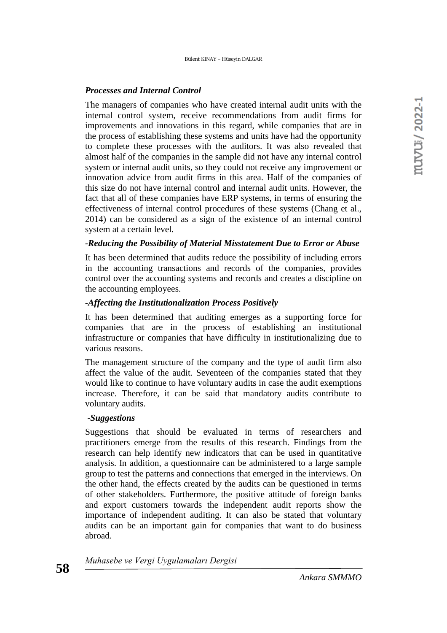#### *Processes and Internal Control*

The managers of companies who have created internal audit units with the internal control system, receive recommendations from audit firms for improvements and innovations in this regard, while companies that are in the process of establishing these systems and units have had the opportunity to complete these processes with the auditors. It was also revealed that almost half of the companies in the sample did not have any internal control system or internal audit units, so they could not receive any improvement or innovation advice from audit firms in this area. Half of the companies of this size do not have internal control and internal audit units. However, the fact that all of these companies have ERP systems, in terms of ensuring the effectiveness of internal control procedures of these systems (Chang et al., 2014) can be considered as a sign of the existence of an internal control system at a certain level.

#### *-Reducing the Possibility of Material Misstatement Due to Error or Abuse*

It has been determined that audits reduce the possibility of including errors in the accounting transactions and records of the companies, provides control over the accounting systems and records and creates a discipline on the accounting employees.

#### *-Affecting the Institutionalization Process Positively*

It has been determined that auditing emerges as a supporting force for companies that are in the process of establishing an institutional infrastructure or companies that have difficulty in institutionalizing due to various reasons.

The management structure of the company and the type of audit firm also affect the value of the audit. Seventeen of the companies stated that they would like to continue to have voluntary audits in case the audit exemptions increase. Therefore, it can be said that mandatory audits contribute to voluntary audits.

#### -*Suggestions*

Suggestions that should be evaluated in terms of researchers and practitioners emerge from the results of this research. Findings from the research can help identify new indicators that can be used in quantitative analysis. In addition, a questionnaire can be administered to a large sample group to test the patterns and connections that emerged in the interviews. On the other hand, the effects created by the audits can be questioned in terms of other stakeholders. Furthermore, the positive attitude of foreign banks and export customers towards the independent audit reports show the importance of independent auditing. It can also be stated that voluntary audits can be an important gain for companies that want to do business abroad.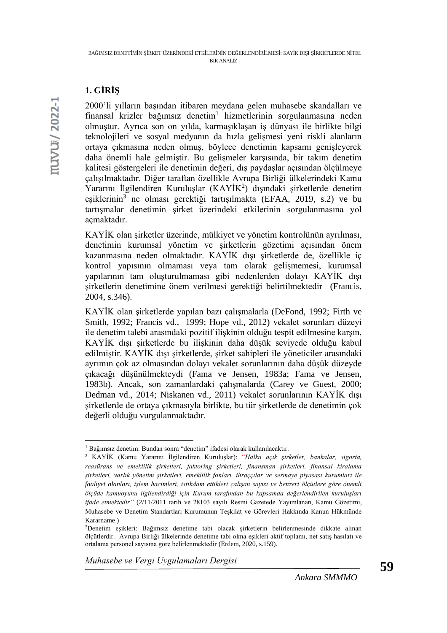# **1. GİRİŞ**

2000'li yılların başından itibaren meydana gelen muhasebe skandalları ve finansal krizler bağımsız denetim<sup>1</sup> hizmetlerinin sorgulanmasına neden olmuştur. Ayrıca son on yılda, karmaşıklaşan iş dünyası ile birlikte bilgi teknolojileri ve sosyal medyanın da hızla gelişmesi yeni riskli alanların ortaya çıkmasına neden olmuş, böylece denetimin kapsamı genişleyerek daha önemli hale gelmiştir. Bu gelişmeler karşısında, bir takım denetim kalitesi göstergeleri ile denetimin değeri, dış paydaşlar açısından ölçülmeye çalışılmaktadır. Diğer taraftan özellikle Avrupa Birliği ülkelerindeki Kamu Yararını İlgilendiren Kuruluşlar (KAYİK<sup>2</sup>) dışındaki şirketlerde denetim eşiklerinin<sup>3</sup> ne olması gerektiği tartışılmakta (EFAA, 2019, s.2) ve bu tartışmalar denetimin şirket üzerindeki etkilerinin sorgulanmasına yol açmaktadır.

KAYİK olan şirketler üzerinde, mülkiyet ve yönetim kontrolünün ayrılması, denetimin kurumsal yönetim ve şirketlerin gözetimi açısından önem kazanmasına neden olmaktadır. KAYİK dışı şirketlerde de, özellikle iç kontrol yapısının olmaması veya tam olarak gelişmemesi, kurumsal yapılarının tam oluşturulmaması gibi nedenlerden dolayı KAYİK dışı şirketlerin denetimine önem verilmesi gerektiği belirtilmektedir (Francis, 2004, s.346).

KAYİK olan şirketlerde yapılan bazı çalışmalarla (DeFond, 1992; Firth ve Smith, 1992; Francis vd., 1999; Hope vd., 2012) vekalet sorunları düzeyi ile denetim talebi arasındaki pozitif ilişkinin olduğu tespit edilmesine karşın, KAYİK dışı şirketlerde bu ilişkinin daha düşük seviyede olduğu kabul edilmiştir. KAYİK dışı şirketlerde, şirket sahipleri ile yöneticiler arasındaki ayrımın çok az olmasından dolayı vekalet sorunlarının daha düşük düzeyde çıkacağı düşünülmekteydi (Fama ve Jensen, 1983a; Fama ve Jensen, 1983b). Ancak, son zamanlardaki çalışmalarda (Carey ve Guest, 2000; Dedman vd., 2014; Niskanen vd., 2011) vekalet sorunlarının KAYİK dışı şirketlerde de ortaya çıkmasıyla birlikte, bu tür şirketlerde de denetimin çok değerli olduğu vurgulanmaktadır.

*Muhasebe ve Vergi Uygulamaları Dergisi*

<sup>1</sup> Bağımsız denetim: Bundan sonra "denetim" ifadesi olarak kullanılacaktır.

<sup>2</sup> KAYİK (Kamu Yararını İlgilendiren Kuruluşlar): "*Halka açık şirketler, bankalar, sigorta, reasürans ve emeklilik şirketleri, faktoring şirketleri, finansman şirketleri, finansal kiralama şirketleri, varlık yönetim şirketleri, emeklilik fonları, ihraççılar ve sermaye piyasası kurumları ile faaliyet alanları, işlem hacimleri, istihdam ettikleri çalışan sayısı ve benzeri ölçütlere göre önemli ölçüde kamuoyunu ilgilendirdiği için Kurum tarafından bu kapsamda değerlendirilen kuruluşları ifade etmektedir"* (2/11/2011 tarih ve 28103 sayılı Resmi Gazetede Yayımlanan, Kamu Gözetimi, Muhasebe ve Denetim Standartları Kurumunun Teşkilat ve Görevleri Hakkında Kanun Hükmünde Kararname )

<sup>3</sup>Denetim eşikleri: Bağımsız denetime tabi olacak şirketlerin belirlenmesinde dikkate alınan ölçütlerdir.Avrupa Birliği ülkelerinde denetime tabi olma eşikleri aktif toplamı, net satış hasılatı ve ortalama personel sayısına göre belirlenmektedir (Erdem, 2020, s.159).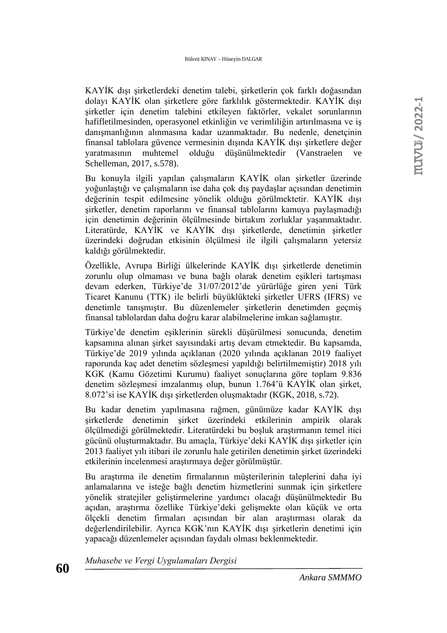KAYİK dışı şirketlerdeki denetim talebi, şirketlerin çok farklı doğasından dolayı KAYİK olan şirketlere göre farklılık göstermektedir. KAYİK dışı şirketler için denetim talebini etkileyen faktörler, vekalet sorunlarının hafifletilmesinden, operasyonel etkinliğin ve verimliliğin artırılmasına ve iş danışmanlığının alınmasına kadar uzanmaktadır. Bu nedenle, denetçinin finansal tablolara güvence vermesinin dışında KAYİK dışı şirketlere değer yaratmasının muhtemel olduğu düşünülmektedir (Vanstraelen ve Schelleman, 2017, s.578).

Bu konuyla ilgili yapılan çalışmaların KAYİK olan şirketler üzerinde yoğunlaştığı ve çalışmaların ise daha çok dış paydaşlar açısından denetimin değerinin tespit edilmesine yönelik olduğu görülmektetir. KAYİK dışı şirketler, denetim raporlarını ve finansal tablolarını kamuya paylaşmadığı için denetimin değerinin ölçülmesinde birtakım zorluklar yaşanmaktadır. Literatürde, KAYİK ve KAYİK dışı şirketlerde, denetimin şirketler üzerindeki doğrudan etkisinin ölçülmesi ile ilgili çalışmaların yetersiz kaldığı görülmektedir.

Özellikle, Avrupa Birliği ülkelerinde KAYİK dışı şirketlerde denetimin zorunlu olup olmaması ve buna bağlı olarak denetim eşikleri tartışması devam ederken, Türkiye'de 31/07/2012'de yürürlüğe giren yeni Türk Ticaret Kanunu (TTK) ile belirli büyüklükteki şirketler UFRS (IFRS) ve denetimle tanışmıştır. Bu düzenlemeler şirketlerin denetimden geçmiş finansal tablolardan daha doğru karar alabilmelerine imkan sağlamıştır.

Türkiye'de denetim eşiklerinin sürekli düşürülmesi sonucunda, denetim kapsamına alınan şirket sayısındaki artış devam etmektedir. Bu kapsamda, Türkiye'de 2019 yılında açıklanan (2020 yılında açıklanan 2019 faaliyet raporunda kaç adet denetim sözleşmesi yapıldığı belirtilmemiştir) 2018 yılı KGK (Kamu Gözetimi Kurumu) faaliyet sonuçlarına göre toplam 9.836 denetim sözleşmesi imzalanmış olup, bunun 1.764'ü KAYİK olan şirket, 8.072'si ise KAYİK dışı şirketlerden oluşmaktadır (KGK, 2018, s.72).

Bu kadar denetim yapılmasına rağmen, günümüze kadar KAYİK dışı şirketlerde denetimin şirket üzerindeki etkilerinin ampirik olarak ölçülmediği görülmektedir. Literatürdeki bu boşluk araştırmanın temel itici gücünü oluşturmaktadır. Bu amaçla, Türkiye'deki KAYİK dışı şirketler için 2013 faaliyet yılı itibari ile zorunlu hale getirilen denetimin şirket üzerindeki etkilerinin incelenmesi araştırmaya değer görülmüştür.

Bu araştırma ile denetim firmalarının müşterilerinin taleplerini daha iyi anlamalarına ve isteğe bağlı denetim hizmetlerini sunmak için şirketlere yönelik stratejiler geliştirmelerine yardımcı olacağı düşünülmektedir Bu açıdan, araştırma özellike Türkiye'deki gelişmekte olan küçük ve orta ölçekli denetim firmaları açısından bir alan araştırması olarak da değerlendirilebilir. Ayrıca KGK'nın KAYİK dışı şirketlerin denetimi için yapacağı düzenlemeler açısından faydalı olması beklenmektedir.

*Muhasebe ve Vergi Uygulamaları Dergisi*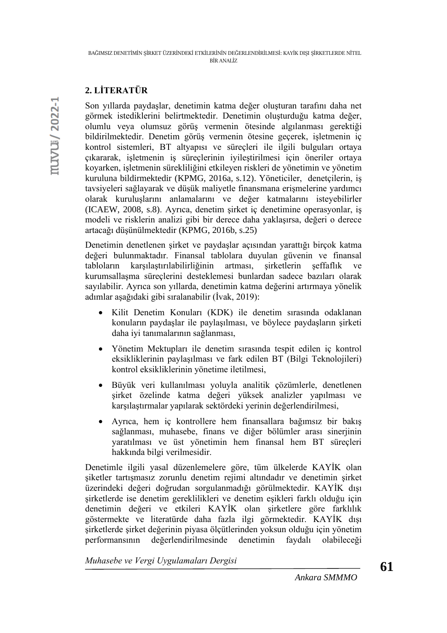# **2. LİTERATÜR**

Son yıllarda paydaşlar, denetimin katma değer oluşturan tarafını daha net görmek istediklerini belirtmektedir. Denetimin oluşturduğu katma değer, olumlu veya olumsuz görüş vermenin ötesinde algılanması gerektiği bildirilmektedir. Denetim görüş vermenin ötesine geçerek, işletmenin iç kontrol sistemleri, BT altyapısı ve süreçleri ile ilgili bulguları ortaya çıkararak, işletmenin iş süreçlerinin iyileştirilmesi için öneriler ortaya koyarken, işletmenin sürekliliğini etkileyen riskleri de yönetimin ve yönetim kuruluna bildirmektedir (KPMG, 2016a, s.12). Yöneticiler, denetçilerin, iş tavsiyeleri sağlayarak ve düşük maliyetle finansmana erişmelerine yardımcı olarak kuruluşlarını anlamalarını ve değer katmalarını isteyebilirler (ICAEW, 2008, s.8). Ayrıca, denetim şirket iç denetimine operasyonlar, iş modeli ve risklerin analizi gibi bir derece daha yaklaşırsa, değeri o derece artacağı düşünülmektedir (KPMG, 2016b, s.25)

Denetimin denetlenen şirket ve paydaşlar açısından yarattığı birçok katma değeri bulunmaktadır. Finansal tablolara duyulan güvenin ve finansal tabloların karşılaştırılabilirliğinin artması, şirketlerin şeffaflık ve kurumsallaşma süreçlerini desteklemesi bunlardan sadece bazıları olarak sayılabilir. Ayrıca son yıllarda, denetimin katma değerini artırmaya yönelik adımlar aşağıdaki gibi sıralanabilir (İvak, 2019):

- Kilit Denetim Konuları (KDK) ile denetim sırasında odaklanan konuların paydaşlar ile paylaşılması, ve böylece paydaşların şirketi daha iyi tanımalarının sağlanması,
- Yönetim Mektupları ile denetim sırasında tespit edilen iç kontrol eksikliklerinin paylaşılması ve fark edilen BT (Bilgi Teknolojileri) kontrol eksikliklerinin yönetime iletilmesi,
- Büyük veri kullanılması yoluyla analitik çözümlerle, denetlenen şirket özelinde katma değeri yüksek analizler yapılması ve karşılaştırmalar yapılarak sektördeki yerinin değerlendirilmesi,
- Ayrıca, hem iç kontrollere hem finansallara bağımsız bir bakış sağlanması, muhasebe, finans ve diğer bölümler arası sinerjinin yaratılması ve üst yönetimin hem finansal hem BT süreçleri hakkında bilgi verilmesidir.

Denetimle ilgili yasal düzenlemelere göre, tüm ülkelerde KAYİK olan şiketler tartışmasız zorunlu denetim rejimi altındadır ve denetimin şirket üzerindeki değeri doğrudan sorgulanmadığı görülmektedir. KAYİK dışı şirketlerde ise denetim gereklilikleri ve denetim eşikleri farklı olduğu için denetimin değeri ve etkileri KAYİK olan şirketlere göre farklılık göstermekte ve literatürde daha fazla ilgi görmektedir. KAYİK dışı şirketlerde şirket değerinin piyasa ölçütlerinden yoksun olduğu için yönetim performansının değerlendirilmesinde denetimin faydalı olabileceği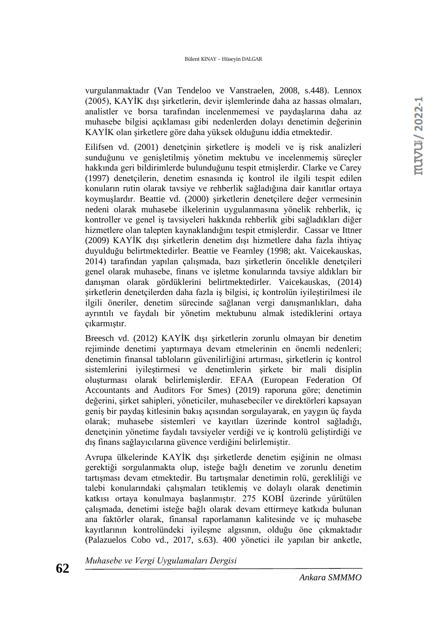vurgulanmaktadır (Van Tendeloo ve Vanstraelen, 2008, s.448). Lennox (2005), KAYİK dışı şirketlerin, devir işlemlerinde daha az hassas olmaları, analistler ve borsa tarafından incelenmemesi ve paydaşlarına daha az muhasebe bilgisi açıklaması gibi nedenlerden dolayı denetimin değerinin KAYİK olan şirketlere göre daha yüksek olduğunu iddia etmektedir.

Eilifsen vd. (2001) denetçinin şirketlere iş modeli ve iş risk analizleri sunduğunu ve genişletilmiş yönetim mektubu ve incelenmemiş süreçler hakkında geri bildirimlerde bulunduğunu tespit etmişlerdir. Clarke ve Carey (1997) denetçilerin, denetim esnasında iç kontrol ile ilgili tespit edilen konuların rutin olarak tavsiye ve rehberlik sağladığına dair kanıtlar ortaya koymuşlardır. Beattie vd. (2000) şirketlerin denetçilere değer vermesinin nedeni olarak muhasebe ilkelerinin uygulanmasına yönelik rehberlik, iç kontroller ve genel iş tavsiyeleri hakkında rehberlik gibi sağladıkları diğer hizmetlere olan talepten kaynaklandığını tespit etmişlerdir. Cassar ve Ittner (2009) KAYİK dışı şirketlerin denetim dışı hizmetlere daha fazla ihtiyaç duyulduğu belirtmektedirler. Beattie ve Fearnley (1998; akt. Vaicekauskas, 2014) tarafından yapılan çalışmada, bazı şirketlerin öncelikle denetçileri genel olarak muhasebe, finans ve işletme konularında tavsiye aldıkları bir danışman olarak gördüklerini belirtmektedirler. Vaicekauskas, (2014) şirketlerin denetçilerden daha fazla iş bilgisi, iç kontrolün iyileştirilmesi ile ilgili öneriler, denetim sürecinde sağlanan vergi danışmanlıkları, daha ayrıntılı ve faydalı bir yönetim mektubunu almak istediklerini ortaya çıkarmıştır.

Breesch vd. (2012) KAYİK dışı şirketlerin zorunlu olmayan bir denetim rejiminde denetimi yaptırmaya devam etmelerinin en önemli nedenleri; denetimin finansal tabloların güvenilirliğini artırması, şirketlerin iç kontrol sistemlerini iyileştirmesi ve denetimlerin şirkete bir mali disiplin oluşturması olarak belirlemişlerdir. EFAA (European Federation Of Accountants and Auditors For Smes) (2019) raporuna göre; denetimin değerini, şirket sahipleri, yöneticiler, muhasebeciler ve direktörleri kapsayan geniş bir paydaş kitlesinin bakış açısından sorgulayarak, en yaygın üç fayda olarak; muhasebe sistemleri ve kayıtları üzerinde kontrol sağladığı, denetçinin yönetime faydalı tavsiyeler verdiği ve iç kontrolü geliştirdiği ve dış finans sağlayıcılarına güvence verdiğini belirlemiştir.

Avrupa ülkelerinde KAYİK dışı şirketlerde denetim eşiğinin ne olması gerektiği sorgulanmakta olup, isteğe bağlı denetim ve zorunlu denetim tartışması devam etmektedir. Bu tartışmalar denetimin rolü, gerekliliği ve talebi konularındaki çalışmaları tetiklemiş ve dolaylı olarak denetimin katkısı ortaya konulmaya başlanmıştır. 275 KOBİ üzerinde yürütülen çalışmada, denetimi isteğe bağlı olarak devam ettirmeye katkıda bulunan ana faktörler olarak, finansal raporlamanın kalitesinde ve iç muhasebe kayıtlarının kontrolündeki iyileşme algısının, olduğu öne çıkmaktadır (Palazuelos Cobo vd., 2017, s.63). 400 yönetici ile yapılan bir anketle,

*Muhasebe ve Vergi Uygulamaları Dergisi*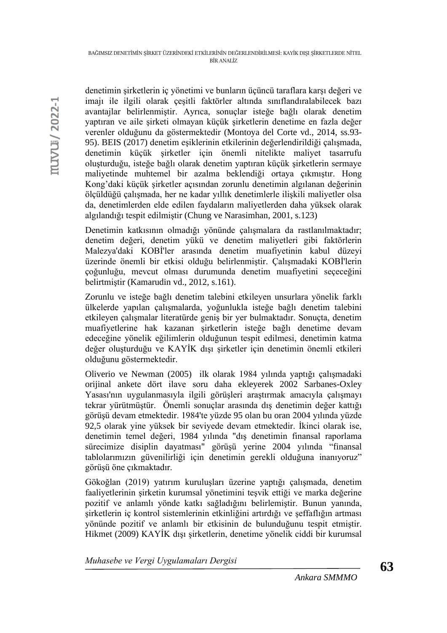muvu / 2022-1

denetimin şirketlerin iç yönetimi ve bunların üçüncü taraflara karşı değeri ve imajı ile ilgili olarak çeşitli faktörler altında sınıflandıralabilecek bazı avantajlar belirlenmiştir. Ayrıca, sonuçlar isteğe bağlı olarak denetim yaptıran ve aile şirketi olmayan küçük şirketlerin denetime en fazla değer verenler olduğunu da göstermektedir (Montoya del Corte vd., 2014, ss.93- 95). BEIS (2017) denetim eşiklerinin etkilerinin değerlendirildiği çalışmada, denetimin küçük şirketler için önemli nitelikte maliyet tasarrufu oluşturduğu, isteğe bağlı olarak denetim yaptıran küçük şirketlerin sermaye maliyetinde muhtemel bir azalma beklendiği ortaya çıkmıştır. Hong Kong'daki küçük şirketler açısından zorunlu denetimin algılanan değerinin ölçüldüğü çalışmada, her ne kadar yıllık denetimlerle ilişkili maliyetler olsa da, denetimlerden elde edilen faydaların maliyetlerden daha yüksek olarak algılandığı tespit edilmiştir (Chung ve Narasimhan, 2001, s.123)

Denetimin katkısının olmadığı yönünde çalışmalara da rastlanılmaktadır; denetim değeri, denetim yükü ve denetim maliyetleri gibi faktörlerin Malezya'daki KOBİ'ler arasında denetim muafiyetinin kabul düzeyi üzerinde önemli bir etkisi olduğu belirlenmiştir. Çalışmadaki KOBİ'lerin çoğunluğu, mevcut olması durumunda denetim muafiyetini seçeceğini belirtmiştir (Kamarudin vd., 2012, s.161).

Zorunlu ve isteğe bağlı denetim talebini etkileyen unsurlara yönelik farklı ülkelerde yapılan çalışmalarda, yoğunlukla isteğe bağlı denetim talebini etkileyen çalışmalar literatürde geniş bir yer bulmaktadır. Sonuçta, denetim muafiyetlerine hak kazanan şirketlerin isteğe bağlı denetime devam edeceğine yönelik eğilimlerin olduğunun tespit edilmesi, denetimin katma değer oluşturduğu ve KAYİK dışı şirketler için denetimin önemli etkileri olduğunu göstermektedir.

Oliverio ve Newman (2005) ilk olarak 1984 yılında yaptığı çalışmadaki orijinal ankete dört ilave soru daha ekleyerek 2002 Sarbanes-Oxley Yasası'nın uygulanmasıyla ilgili görüşleri araştırmak amacıyla çalışmayı tekrar yürütmüştür. Önemli sonuçlar arasında dış denetimin değer kattığı görüşü devam etmektedir. 1984'te yüzde 95 olan bu oran 2004 yılında yüzde 92,5 olarak yine yüksek bir seviyede devam etmektedir. İkinci olarak ise, denetimin temel değeri, 1984 yılında "dış denetimin finansal raporlama sürecimize disiplin dayatması" görüşü yerine 2004 yılında "finansal tablolarımızın güvenilirliği için denetimin gerekli olduğuna inanıyoruz" görüşü öne çıkmaktadır.

Gökoğlan (2019) yatırım kuruluşları üzerine yaptığı çalışmada, denetim faaliyetlerinin şirketin kurumsal yönetimini teşvik ettiği ve marka değerine pozitif ve anlamlı yönde katkı sağladığını belirlemiştir. Bunun yanında, şirketlerin iç kontrol sistemlerinin etkinliğini artırdığı ve şeffaflığın artması yönünde pozitif ve anlamlı bir etkisinin de bulunduğunu tespit etmiştir. Hikmet (2009) KAYİK dışı şirketlerin, denetime yönelik ciddi bir kurumsal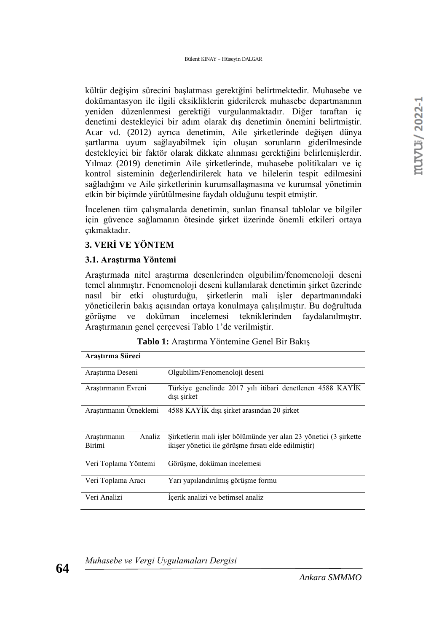kültür değişim sürecini başlatması gerektğini belirtmektedir. Muhasebe ve dokümantasyon ile ilgili eksikliklerin giderilerek muhasebe departmanının yeniden düzenlenmesi gerektiği vurgulanmaktadır. Diğer taraftan iç denetimi destekleyici bir adım olarak dış denetimin önemini belirtmiştir. Acar vd. (2012) ayrıca denetimin, Aile şirketlerinde değişen dünya şartlarına uyum sağlayabilmek için oluşan sorunların giderilmesinde destekleyici bir faktör olarak dikkate alınması gerektiğini belirlemişlerdir. Yılmaz (2019) denetimin Aile şirketlerinde, muhasebe politikaları ve iç kontrol sisteminin değerlendirilerek hata ve hilelerin tespit edilmesini sağladığını ve Aile şirketlerinin kurumsallaşmasına ve kurumsal yönetimin etkin bir biçimde yürütülmesine faydalı olduğunu tespit etmiştir.

İncelenen tüm çalışmalarda denetimin, sunlan finansal tablolar ve bilgiler için güvence sağlamanın ötesinde şirket üzerinde önemli etkileri ortaya çıkmaktadır.

## **3. VERİ VE YÖNTEM**

## **3.1. Araştırma Yöntemi**

Araştırmada nitel araştırma desenlerinden olgubilim/fenomenoloji deseni temel alınmıştır. Fenomenoloji deseni kullanılarak denetimin şirket üzerinde nasıl bir etki oluşturduğu, şirketlerin mali işler departmanındaki yöneticilerin bakış açısından ortaya konulmaya çalışılmıştır. Bu doğrultuda görüşme ve doküman incelemesi tekniklerinden faydalanılmıştır. Araştırmanın genel çerçevesi Tablo 1'de verilmiştir.

| Arastırma Süreci                        |                                                                                                                           |  |
|-----------------------------------------|---------------------------------------------------------------------------------------------------------------------------|--|
| Araştırma Deseni                        | Olgubilim/Fenomenoloji deseni                                                                                             |  |
| Arastırmanın Evreni                     | Türkiye genelinde 2017 yılı itibari denetlenen 4588 KAYİK<br>dışı şirket                                                  |  |
| Araştırmanın Örneklemi                  | 4588 KAYİK dışı şirket arasından 20 şirket                                                                                |  |
| Analiz<br>Arastırmanın<br><b>Birimi</b> | Şirketlerin mali işler bölümünde yer alan 23 yönetici (3 şirkette<br>ikişer yönetici ile görüşme fırsatı elde edilmiştir) |  |
| Veri Toplama Yöntemi                    | Görüşme, doküman incelemesi                                                                                               |  |
| Veri Toplama Aracı                      | Yarı yapılandırılmış görüşme formu                                                                                        |  |
| Veri Analizi                            | Içerik analizi ve betimsel analiz                                                                                         |  |

**Tablo 1:** Araştırma Yöntemine Genel Bir Bakış



*Ankara SMMMO*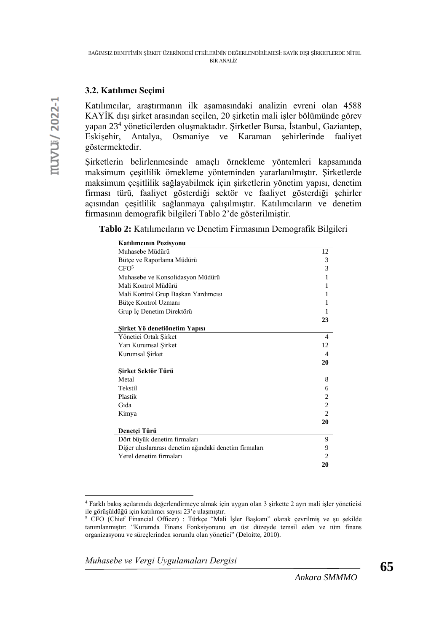## **3.2. Katılımcı Seçimi**

Katılımcılar, araştırmanın ilk aşamasındaki analizin evreni olan 4588 KAYİK dışı şirket arasından seçilen, 20 şirketin mali işler bölümünde görev yapan 23<sup>4</sup> yöneticilerden oluşmaktadır. Şirketler Bursa, İstanbul, Gaziantep, Eskişehir, Antalya, Osmaniye ve Karaman şehirlerinde faaliyet göstermektedir.

Şirketlerin belirlenmesinde amaçlı örnekleme yöntemleri kapsamında maksimum çeşitlilik örnekleme yönteminden yararlanılmıştır. Şirketlerde maksimum çeşitlilik sağlayabilmek için şirketlerin yönetim yapısı, denetim firması türü, faaliyet gösterdiği sektör ve faaliyet gösterdiği şehirler açısından çeşitlilik sağlanmaya çalışılmıştır. Katılımcıların ve denetim firmasının demografik bilgileri Tablo 2'de gösterilmiştir.

**Tablo 2:** Katılımcıların ve Denetim Firmasının Demografik Bilgileri

| Katılımcının Pozisyonu                                |                |
|-------------------------------------------------------|----------------|
| Muhasebe Müdürü                                       | 12             |
| Bütçe ve Raporlama Müdürü                             | 3              |
| CFO <sup>5</sup>                                      | 3              |
| Muhasebe ve Konsolidasyon Müdürü                      | 1              |
| Mali Kontrol Müdürü                                   | 1              |
| Mali Kontrol Grup Başkan Yardımcısı                   | 1              |
| Bütçe Kontrol Uzmanı                                  | 1              |
| Grup İç Denetim Direktörü                             | 1              |
|                                                       | 23             |
| Şirket Yö denetiönetim Yapısı                         |                |
| Yönetici Ortak Şirket                                 | 4              |
| Yarı Kurumsal Şirket                                  | 12             |
| Kurumsal Sirket                                       | 4              |
|                                                       | 20             |
| Şirket Sektör Türü                                    |                |
| Metal                                                 | 8              |
| Tekstil                                               | 6              |
| Plastik                                               | 2              |
| Gida                                                  | 2              |
| Kimya                                                 | $\mathfrak{D}$ |
|                                                       | 20             |
| Denetçi Türü                                          |                |
| Dört büyük denetim firmaları                          | 9              |
| Diğer uluslararası denetim ağındaki denetim firmaları | 9              |
| Yerel denetim firmaları                               | 2              |
|                                                       | 20             |

<sup>4</sup> Farklı bakış açılarınıda değerlendirmeye almak için uygun olan 3 şirkette 2 ayrı mali işler yöneticisi ile görüşüldüğü için katılımcı sayısı 23'e ulaşmıştır.

*Muhasebe ve Vergi Uygulamaları Dergisi*

<sup>5</sup> CFO (Chief Financial Officer) : Türkçe "Mali İşler Başkanı" olarak çevrilmiş ve şu şekilde tanımlanmıştır: "Kurumda Finans Fonksiyonunu en üst düzeyde temsil eden ve tüm finans organizasyonu ve süreçlerinden sorumlu olan yönetici" (Deloitte, 2010).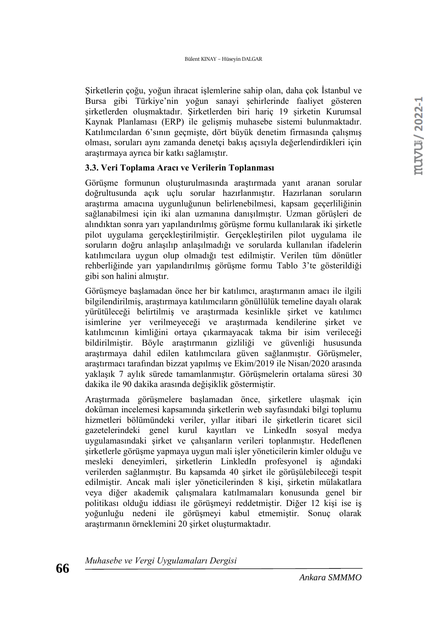Şirketlerin çoğu, yoğun ihracat işlemlerine sahip olan, daha çok İstanbul ve Bursa gibi Türkiye'nin yoğun sanayi şehirlerinde faaliyet gösteren şirketlerden oluşmaktadır. Şirketlerden biri hariç 19 şirketin Kurumsal Kaynak Planlaması (ERP) ile gelişmiş muhasebe sistemi bulunmaktadır. Katılımcılardan 6'sının geçmişte, dört büyük denetim firmasında çalışmış olması, soruları aynı zamanda denetçi bakış açısıyla değerlendirdikleri için araştırmaya ayrıca bir katkı sağlamıştır.

#### **3.3. Veri Toplama Aracı ve Verilerin Toplanması**

Görüşme formunun oluşturulmasında araştırmada yanıt aranan sorular doğrultusunda açık uçlu sorular hazırlanmıştır. Hazırlanan soruların araştırma amacına uygunluğunun belirlenebilmesi, kapsam geçerliliğinin sağlanabilmesi için iki alan uzmanına danışılmıştır. Uzman görüşleri de alındıktan sonra yarı yapılandırılmış görüşme formu kullanılarak iki şirketle pilot uygulama gerçekleştirilmiştir. Gerçekleştirilen pilot uygulama ile soruların doğru anlaşılıp anlaşılmadığı ve sorularda kullanılan ifadelerin katılımcılara uygun olup olmadığı test edilmiştir. Verilen tüm dönütler rehberliğinde yarı yapılandırılmış görüşme formu Tablo 3'te gösterildiği gibi son halini almıştır.

Görüşmeye başlamadan önce her bir katılımcı, araştırmanın amacı ile ilgili bilgilendirilmiş, araştırmaya katılımcıların gönüllülük temeline dayalı olarak yürütüleceği belirtilmiş ve araştırmada kesinlikle şirket ve katılımcı isimlerine yer verilmeyeceği ve araştırmada kendilerine şirket ve katılımcının kimliğini ortaya çıkarmayacak takma bir isim verileceği bildirilmiştir. Böyle araştırmanın gizliliği ve güvenliği hususunda araştırmaya dahil edilen katılımcılara güven sağlanmıştır. Görüşmeler, araştırmacı tarafından bizzat yapılmış ve Ekim/2019 ile Nisan/2020 arasında yaklaşık 7 aylık sürede tamamlanmıştır. Görüşmelerin ortalama süresi 30 dakika ile 90 dakika arasında değişiklik göstermiştir.

Araştırmada görüşmelere başlamadan önce, şirketlere ulaşmak için doküman incelemesi kapsamında şirketlerin web sayfasındaki bilgi toplumu hizmetleri bölümündeki veriler, yıllar itibari ile şirketlerin ticaret sicil gazetelerindeki genel kurul kayıtları ve LinkedIn sosyal medya uygulamasındaki şirket ve çalışanların verileri toplanmıştır. Hedeflenen şirketlerle görüşme yapmaya uygun mali işler yöneticilerin kimler olduğu ve mesleki deneyimleri, şirketlerin LinkledIn profesyonel iş ağındaki verilerden sağlanmıştır. Bu kapsamda 40 şirket ile görüşülebileceği tespit edilmiştir. Ancak mali işler yöneticilerinden 8 kişi, şirketin mülakatlara veya diğer akademik çalışmalara katılmamaları konusunda genel bir politikası olduğu iddiası ile görüşmeyi reddetmiştir. Diğer 12 kişi ise iş yoğunluğu nedeni ile görüşmeyi kabul etmemiştir. Sonuç olarak araştırmanın örneklemini 20 şirket oluşturmaktadır.

*Muhasebe ve Vergi Uygulamaları Dergisi*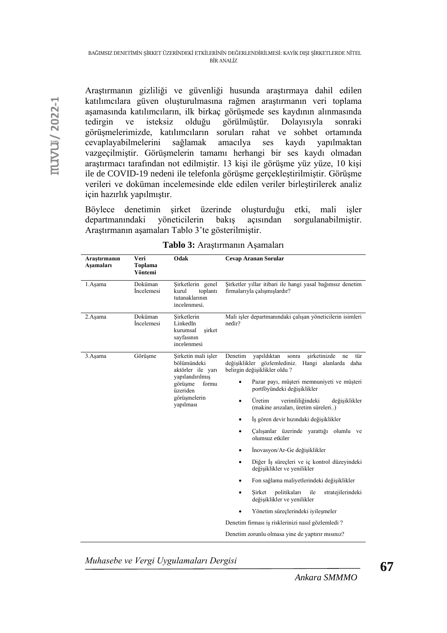Araştırmanın gizliliği ve güvenliği husunda araştırmaya dahil edilen katılımcılara güven oluşturulmasına rağmen araştırmanın veri toplama aşamasında katılımcıların, ilk birkaç görüşmede ses kaydının alınmasında tedirgin ve isteksiz olduğu görülmüştür. Dolayısıyla sonraki görüşmelerimizde, katılımcıların soruları rahat ve sohbet ortamında cevaplayabilmelerini sağlamak amacılya ses kaydı yapılmaktan vazgeçilmiştir. Görüşmelerin tamamı herhangi bir ses kaydı olmadan araştırmacı tarafından not edilmiştir. 13 kişi ile görüşme yüz yüze, 10 kişi ile de COVID-19 nedeni ile telefonla görüşme gerçekleştirilmiştir. Görüşme verileri ve doküman incelemesinde elde edilen veriler birleştirilerek analiz için hazırlık yapılmıştır.

Böylece denetimin şirket üzerinde oluşturduğu etki, mali işler departmanındaki yöneticilerin bakış açısından sorgulanabilmiştir. Araştırmanın aşamaları Tablo 3'te gösterilmiştir.

| <b>Cevap Aranan Sorular</b><br>Şirketler yıllar itibari ile hangi yasal bağımsız denetim<br>firmalarıyla çalışmışlardır?                                                                                                                                                                                                                                                                                                                                                                                                                                                                                                                                                                                                                                                                                                |  |  |
|-------------------------------------------------------------------------------------------------------------------------------------------------------------------------------------------------------------------------------------------------------------------------------------------------------------------------------------------------------------------------------------------------------------------------------------------------------------------------------------------------------------------------------------------------------------------------------------------------------------------------------------------------------------------------------------------------------------------------------------------------------------------------------------------------------------------------|--|--|
|                                                                                                                                                                                                                                                                                                                                                                                                                                                                                                                                                                                                                                                                                                                                                                                                                         |  |  |
| yapıldıktan<br>sirketinizde<br>tür<br>sonra<br>ne<br>değişiklikler gözlemlediniz.<br>Hangi alanlarda daha<br>belirgin değişiklikler oldu?<br>Pazar payı, müşteri memnuniyeti ve müşteri<br>portföyündeki değişiklikler<br>Üretim<br>verimliliğindeki<br>değisiklikler<br>(makine arızaları, üretim süreleri)<br>İş gören devir hızındaki değişiklikler<br>Çalışanlar üzerinde yarattığı olumlu ve<br>olumsuz etkiler<br>İnovasyon/Ar-Ge değişiklikler<br>Diğer İş süreçleri ve iç kontrol düzeyindeki<br>değişiklikler ve yenilikler<br>Fon sağlama maliyetlerindeki değişiklikler<br>politikaları<br>ile<br>stratejilerindeki<br>Sirket<br>değişiklikler ve yenilikler<br>Yönetim süreçlerindeki iyileşmeler<br>Denetim firması iş risklerinizi nasıl gözlemledi ?<br>Denetim zorunlu olmasa yine de yaptırır mısınız? |  |  |
|                                                                                                                                                                                                                                                                                                                                                                                                                                                                                                                                                                                                                                                                                                                                                                                                                         |  |  |

**Tablo 3:** Araştırmanın Aşamaları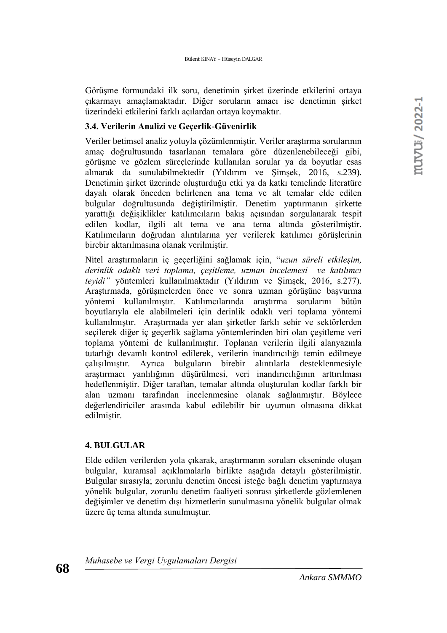Görüşme formundaki ilk soru, denetimin şirket üzerinde etkilerini ortaya çıkarmayı amaçlamaktadır. Diğer soruların amacı ise denetimin şirket üzerindeki etkilerini farklı açılardan ortaya koymaktır.

#### **3.4. Verilerin Analizi ve Geçerlik-Güvenirlik**

Veriler betimsel analiz yoluyla çözümlenmiştir. Veriler araştırma sorularının amaç doğrultusunda tasarlanan temalara göre düzenlenebileceği gibi, görüşme ve gözlem süreçlerinde kullanılan sorular ya da boyutlar esas alınarak da sunulabilmektedir (Yıldırım ve Şimşek, 2016, s.239). Denetimin şirket üzerinde oluşturduğu etki ya da katkı temelinde literatüre dayalı olarak önceden belirlenen ana tema ve alt temalar elde edilen bulgular doğrultusunda değiştirilmiştir. Denetim yaptırmanın şirkette yarattığı değişiklikler katılımcıların bakış açısından sorgulanarak tespit edilen kodlar, ilgili alt tema ve ana tema altında gösterilmiştir. Katılımcıların doğrudan alıntılarına yer verilerek katılımcı görüşlerinin birebir aktarılmasına olanak verilmiştir.

Nitel araştırmaların iç geçerliğini sağlamak için, "*uzun süreli etkileşim, derinlik odaklı veri toplama, çeşitleme, uzman incelemesi ve katılımcı teyidi"* yöntemleri kullanılmaktadır (Yıldırım ve Şimşek, 2016, s.277). Araştırmada, görüşmelerden önce ve sonra uzman görüşüne başvurma yöntemi kullanılmıştır. Katılımcılarında araştırma sorularını bütün boyutlarıyla ele alabilmeleri için derinlik odaklı veri toplama yöntemi kullanılmıştır. Araştırmada yer alan şirketler farklı sehir ve sektörlerden seçilerek diğer iç geçerlik sağlama yöntemlerinden biri olan çeşitleme veri toplama yöntemi de kullanılmıştır. Toplanan verilerin ilgili alanyazınla tutarlığı devamlı kontrol edilerek, verilerin inandırıcılığı temin edilmeye çalışılmıştır. Ayrıca bulguların birebir alıntılarla desteklenmesiyle araştırmacı yanlılığının düşürülmesi, veri inandırıcılığının arttırılması hedeflenmiştir. Diğer taraftan, temalar altında oluşturulan kodlar farklı bir alan uzmanı tarafından incelenmesine olanak sağlanmıştır. Böylece değerlendiriciler arasında kabul edilebilir bir uyumun olmasına dikkat edilmiştir.

### **4. BULGULAR**

Elde edilen verilerden yola çıkarak, araştırmanın soruları ekseninde oluşan bulgular, kuramsal açıklamalarla birlikte aşağıda detaylı gösterilmiştir. Bulgular sırasıyla; zorunlu denetim öncesi isteğe bağlı denetim yaptırmaya yönelik bulgular, zorunlu denetim faaliyeti sonrası şirketlerde gözlemlenen değişimler ve denetim dışı hizmetlerin sunulmasına yönelik bulgular olmak üzere üç tema altında sunulmuştur.

*Muhasebe ve Vergi Uygulamaları Dergisi*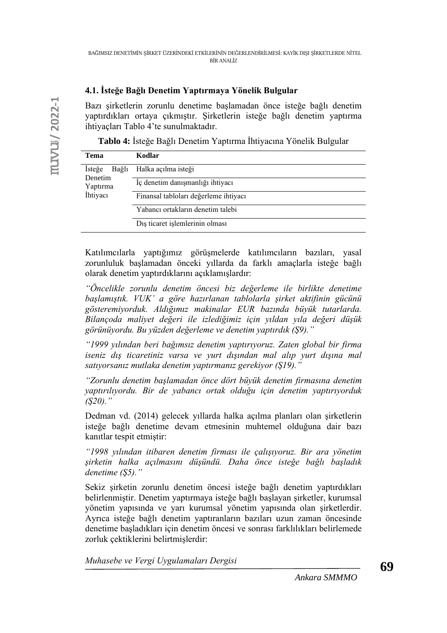## **4.1. İsteğe Bağlı Denetim Yaptırmaya Yönelik Bulgular**

Bazı şirketlerin zorunlu denetime başlamadan önce isteğe bağlı denetim yaptırdıkları ortaya çıkmıştır. Şirketlerin isteğe bağlı denetim yaptırma ihtiyaçları Tablo 4'te sunulmaktadır.

**Tablo 4:** İsteğe Bağlı Denetim Yaptırma İhtiyacına Yönelik Bulgular

| <b>Tema</b>                                        | Kodlar                                |
|----------------------------------------------------|---------------------------------------|
| Isteğe<br>Bağlı<br>Denetim<br>Yaptırma<br>İhtiyacı | Halka açılma isteği                   |
|                                                    | İç denetim danışmanlığı ihtiyacı      |
|                                                    | Finansal tabloları değerleme ihtiyacı |
|                                                    | Yabancı ortakların denetim talebi     |
|                                                    | Dış ticaret işlemlerinin olması       |

Katılımcılarla yaptığımız görüşmelerde katılımcıların bazıları, yasal zorunluluk başlamadan önceki yıllarda da farklı amaçlarla isteğe bağlı olarak denetim yaptırdıklarını açıklamışlardır:

*"Öncelikle zorunlu denetim öncesi biz değerleme ile birlikte denetime başlamıştık. VUK' a göre hazırlanan tablolarla şirket aktifinin gücünü gösteremiyorduk. Aldığımız makinalar EUR bazında büyük tutarlarda. Bilançoda maliyet değeri ile izlediğimiz için yıldan yıla değeri düşük görünüyordu. Bu yüzden değerleme ve denetim yaptırdık (Ş9)."*

*"1999 yılından beri bağımsız denetim yaptırıyoruz. Zaten global bir firma iseniz dış ticaretiniz varsa ve yurt dışından mal alıp yurt dışına mal satıyorsanız mutlaka denetim yaptırmanız gerekiyor (Ş19)."* 

*"Zorunlu denetim başlamadan önce dört büyük denetim firmasına denetim yaptırılıyordu. Bir de yabancı ortak olduğu için denetim yaptırıyorduk (Ş20)."*

Dedman vd. (2014) gelecek yıllarda halka açılma planları olan şirketlerin isteğe bağlı denetime devam etmesinin muhtemel olduğuna dair bazı kanıtlar tespit etmiştir:

*"1998 yılından itibaren denetim firması ile çalışıyoruz. Bir ara yönetim şirketin halka açılmasını düşündü. Daha önce isteğe bağlı başladık denetime (Ş5)."*

Sekiz şirketin zorunlu denetim öncesi isteğe bağlı denetim yaptırdıkları belirlenmiştir. Denetim yaptırmaya isteğe bağlı başlayan şirketler, kurumsal yönetim yapısında ve yarı kurumsal yönetim yapısında olan şirketlerdir. Ayrıca isteğe bağlı denetim yaptıranların bazıları uzun zaman öncesinde denetime başladıkları için denetim öncesi ve sonrası farklılıkları belirlemede zorluk çektiklerini belirtmişlerdir: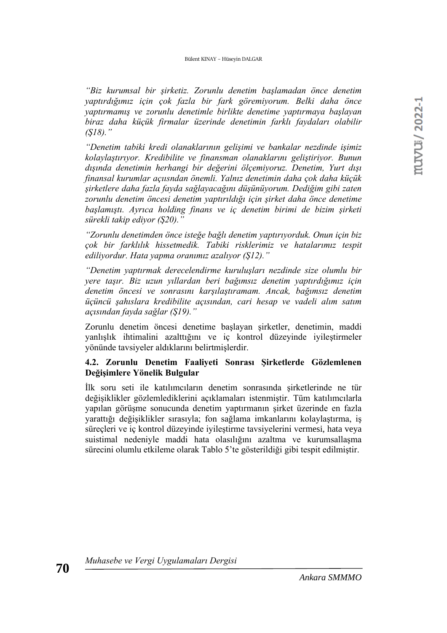*"Biz kurumsal bir şirketiz. Zorunlu denetim başlamadan önce denetim yaptırdığımız için çok fazla bir fark göremiyorum. Belki daha önce yaptırmamış ve zorunlu denetimle birlikte denetime yaptırmaya başlayan biraz daha küçük firmalar üzerinde denetimin farklı faydaları olabilir (Ş18)."*

*"Denetim tabiki kredi olanaklarının gelişimi ve bankalar nezdinde işimiz kolaylaştırıyor. Kredibilite ve finansman olanaklarını geliştiriyor. Bunun dışında denetimin herhangi bir değerini ölçemiyoruz. Denetim, Yurt dışı finansal kurumlar açıısndan önemli. Yalnız denetimin daha çok daha küçük şirketlere daha fazla fayda sağlayacağını düşünüyorum. Dediğim gibi zaten zorunlu denetim öncesi denetim yaptırıldığı için şirket daha önce denetime başlamıştı. Ayrıca holding finans ve iç denetim birimi de bizim şirketi sürekli takip ediyor (Ş20)."* 

*"Zorunlu denetimden önce isteğe bağlı denetim yaptırıyorduk. Onun için biz çok bir farklılık hissetmedik. Tabiki risklerimiz ve hatalarımız tespit ediliyordur. Hata yapma oranımız azalıyor (Ş12)."*

*"Denetim yaptırmak derecelendirme kuruluşları nezdinde size olumlu bir yere taşır. Biz uzun yıllardan beri bağımsız denetim yaptırdığımız için denetim öncesi ve sonrasını karşılaştıramam. Ancak, bağımsız denetim üçüncü şahıslara kredibilite açısından, cari hesap ve vadeli alım satım açısından fayda sağlar (Ş19)."*

Zorunlu denetim öncesi denetime başlayan şirketler, denetimin, maddi yanlışlık ihtimalini azalttığını ve iç kontrol düzeyinde iyileştirmeler yönünde tavsiyeler aldıklarını belirtmişlerdir.

## **4.2. Zorunlu Denetim Faaliyeti Sonrası Şirketlerde Gözlemlenen Değişimlere Yönelik Bulgular**

İlk soru seti ile katılımcıların denetim sonrasında şirketlerinde ne tür değişiklikler gözlemlediklerini açıklamaları istenmiştir. Tüm katılımcılarla yapılan görüşme sonucunda denetim yaptırmanın şirket üzerinde en fazla yarattığı değişiklikler sırasıyla; fon sağlama imkanlarını kolaylaştırma, iş süreçleri ve iç kontrol düzeyinde iyileştirme tavsiyelerini vermesi, hata veya suistimal nedeniyle maddi hata olasılığını azaltma ve kurumsallaşma sürecini olumlu etkileme olarak Tablo 5'te gösterildiği gibi tespit edilmiştir.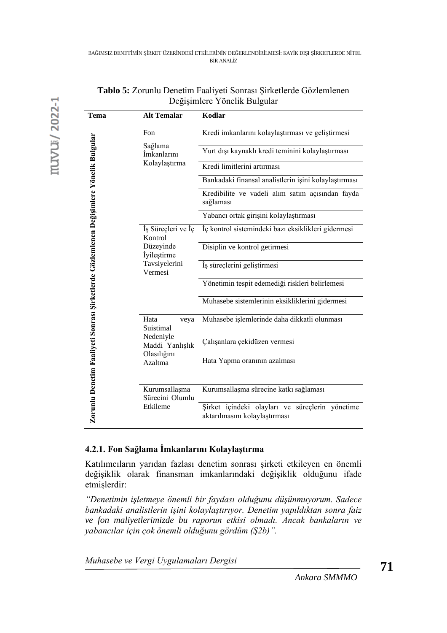| Tema                                                                                   | <b>Alt Temalar</b>                          | Kodlar                                                                              |
|----------------------------------------------------------------------------------------|---------------------------------------------|-------------------------------------------------------------------------------------|
|                                                                                        | Fon                                         | Kredi imkanlarını kolaylaştırması ve geliştirmesi                                   |
|                                                                                        | Sağlama<br>İmkanlarını<br>Kolaylaştırma     | Yurt dışı kaynaklı kredi teminini kolaylaştırması                                   |
|                                                                                        |                                             | Kredi limitlerini artırması                                                         |
|                                                                                        |                                             | Bankadaki finansal analistlerin işini kolaylaştırması                               |
|                                                                                        |                                             | Kredibilite ve vadeli alım satım açısından fayda<br>sağlaması                       |
|                                                                                        |                                             | Yabancı ortak girişini kolaylaştırması                                              |
|                                                                                        | İş Süreçleri ve İç<br>Kontrol               | İç kontrol sistemindeki bazı eksiklikleri gidermesi                                 |
|                                                                                        | Düzeyinde<br>İyileştirme                    | Disiplin ve kontrol getirmesi                                                       |
|                                                                                        | Tavsiyelerini<br>Vermesi                    | İş süreçlerini geliştirmesi                                                         |
|                                                                                        |                                             | Yönetimin tespit edemediği riskleri belirlemesi                                     |
|                                                                                        |                                             | Muhasebe sistemlerinin eksikliklerini gidermesi                                     |
|                                                                                        | Hata<br>veya<br>Suistimal                   | Muhasebe işlemlerinde daha dikkatli olunması                                        |
| Zorunlu Denetim Faaliyeti Sonrası Şirketlerde Gözlemlenen Değişimlere Yönelik Bulgular | Nedeniyle<br>Maddi Yanlışlık<br>Olasılığını | Çalışanlara çekidüzen vermesi                                                       |
|                                                                                        | Azaltma                                     | Hata Yapma oranının azalması                                                        |
|                                                                                        | Kurumsallaşma                               | Kurumsallaşma sürecine katkı sağlaması                                              |
|                                                                                        | Sürecini Olumlu<br>Etkileme                 | Şirket içindeki olayları ve<br>süreçlerin yönetime<br>aktarılmasını kolaylaştırması |

| Tablo 5: Zorunlu Denetim Faaliyeti Sonrası Şirketlerde Gözlemlenen |
|--------------------------------------------------------------------|
| Değişimlere Yönelik Bulgular                                       |

# **4.2.1. Fon Sağlama İmkanlarını Kolaylaştırma**

Katılımcıların yarıdan fazlası denetim sonrası şirketi etkileyen en önemli değişiklik olarak finansman imkanlarındaki değişiklik olduğunu ifade etmişlerdir:

*"Denetimin işletmeye önemli bir faydası olduğunu düşünmuyorum. Sadece bankadaki analistlerin işini kolaylaştırıyor. Denetim yapıldıktan sonra faiz ve fon maliyetlerimizde bu raporun etkisi olmadı. Ancak bankaların ve yabancılar için çok önemli olduğunu gördüm (Ş2b)".*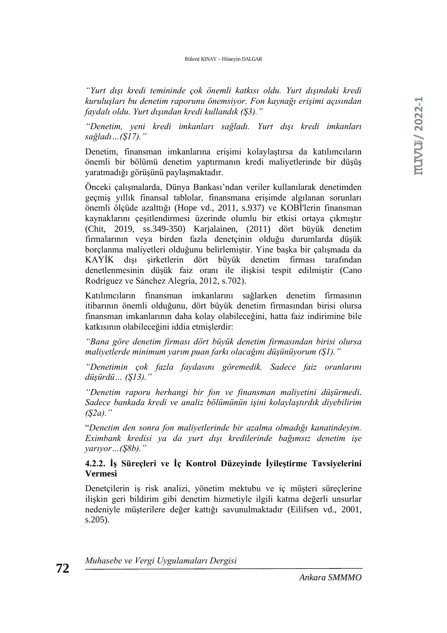#### Bülent KINAY – Hüseyin DALGAR

*"Yurt dışı kredi temininde çok önemli katkısı oldu. Yurt dışındaki kredi kuruluşları bu denetim raporunu önemsiyor. Fon kaynağı erişimi açısından faydalı oldu. Yurt dışından kredi kullandık (Ş3)."*

*"Denetim, yeni kredi imkanları sağladı. Yurt dışı kredi imkanları sağladı…(Ş17)."*

Denetim, finansman imkanlarına erişimi kolaylaştırsa da katılımcıların önemli bir bölümü denetim yaptırmanın kredi maliyetlerinde bir düşüş yaratmadığı görüşünü paylaşmaktadır.

Önceki çalışmalarda, Dünya Bankası'ndan veriler kullanılarak denetimden geçmiş yıllık finansal tablolar, finansmana erişimde algılanan sorunları önemli ölçüde azalttığı (Hope vd., 2011, s.937) ve KOBİ'lerin finansman kaynaklarını çeşitlendirmesi üzerinde olumlu bir etkisi ortaya çıkmıştır (Chit, 2019, ss.349-350) Karjalainen, (2011) dört büyük denetim firmalarının veya birden fazla denetçinin olduğu durumlarda düşük borçlanma maliyetleri olduğunu belirlemiştir. Yine başka bir çalışmada da KAYİK dışı şirketlerin dört büyük denetim firması tarafından denetlenmesinin düşük faiz oranı ile ilişkisi tespit edilmiştir (Cano Rodríguez ve Sánchez Alegría, 2012, s.702).

Katılımcıların finansman imkanlarını sağlarken denetim firmasının itibarının önemli olduğunu, dört büyük denetim firmasından birisi olursa finansman imkanlarının daha kolay olabileceğini, hatta faiz indirimine bile katkısının olabileceğini iddia etmişlerdir:

*"Bana göre denetim firması dört büyük denetim firmasından birisi olursa maliyetlerde minimum yarım puan farkı olacağını düşünüyorum (Ş1)."*

*"Denetimin çok fazla faydasını göremedik. Sadece faiz oranlarını düşürdü… (Ş13)."* 

*"Denetim raporu herhangi bir fon ve finansman maliyetini düşürmedi. Sadece bankada kredi ve analiz bölümünün işini kolaylaştırdık diyebilirim (Ş2a)."*

"*Denetim den sonra fon maliyetlerinde bir azalma olmadığı kanatindeyim. Eximbank kredisi ya da yurt dışı kredilerinde bağımsız denetim işe yarıyor…(Ş8b)."*

## **4.2.2. İş Süreçleri ve İç Kontrol Düzeyinde İyileştirme Tavsiyelerini Vermesi**

Denetçilerin iş risk analizi, yönetim mektubu ve iç müşteri süreçlerine ilişkin geri bildirim gibi denetim hizmetiyle ilgili katma değerli unsurlar nedeniyle müşterilere değer kattığı savunulmaktadır (Eilifsen vd., 2001, s.205).

*Muhasebe ve Vergi Uygulamaları Dergisi*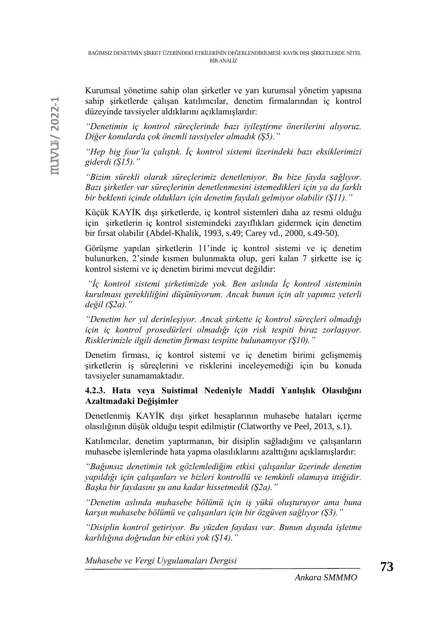Kurumsal yönetime sahip olan şirketler ve yarı kurumsal yönetim yapısına sahip şirketlerde çalışan katılımcılar, denetim firmalarından iç kontrol düzeyinde tavsiyeler aldıklarını açıklamışlardır:

*"Denetimin iç kontrol süreçlerinde bazı iyileştirme önerilerini alıyoruz. Diğer konularda çok önemli tavsiyeler almadık (Ş5)."*

*"Hep big four'la çalıştık. İç kontrol sistemi üzerindeki bazı eksiklerimizi giderdi (Ş15)."*

*"Bizim sürekli olarak süreçlerimiz denetleniyor. Bu bize fayda sağlıyor. Bazı şirketler var süreçlerinin denetlenmesini istemedikleri için ya da farklı bir beklenti içinde oldukları için denetim faydalı gelmiyor olabilir (Ş11)."*

Küçük KAYİK dışı şirketlerde, iç kontrol sistemleri daha az resmi olduğu için şirketlerin iç kontrol sistemindeki zayıflıkları gidermek için denetim bir fırsat olabilir (Abdel-Khalik, 1993, s.49; Carey vd., 2000, s.49-50).

Görüşme yapılan şirketlerin 11'inde iç kontrol sistemi ve iç denetim bulunurken, 2'sinde kısmen bulunmakta olup, geri kalan 7 şirkette ise iç kontrol sistemi ve iç denetim birimi mevcut değildir:

*"İç kontrol sistemi şirketimizde yok. Ben aslında İç kontrol sisteminin kurulması gerekliliğini düşünüyorum. Ancak bunun için alt yapımız yeterli değil (Ş2a)."*

*"Denetim her yıl derinleşiyor. Ancak şirkette iç kontrol süreçleri olmadığı için iç kontrol prosedürleri olmadığı için risk tespiti biraz zorlaşıyor. Risklerimizle ilgili denetim firması tespitte bulunamıyor (Ş10)."*

Denetim firması, iç kontrol sistemi ve iç denetim birimi gelişmemiş şirketlerin iş süreçlerini ve risklerini inceleyemediği için bu konuda tavsiyeler sunamamaktadır.

## **4.2.3. Hata veya Suistimal Nedeniyle Maddi Yanlışlık Olasılığını Azaltmadaki Değişimler**

Denetlenmiş KAYİK dışı şirket hesaplarının muhasebe hataları içerme olasılığının düşük olduğu tespit edilmiştir (Clatworthy ve Peel, 2013, s.1).

Katılımcılar, denetim yaptırmanın, bir disiplin sağladığını ve çalışanların muhasebe işlemlerinde hata yapma olasılıklarını azalttığını açıklamışlardır:

*"Bağımsız denetimin tek gözlemlediğim etkisi çalışanlar üzerinde denetim yapıldığı için çalışanları ve bizleri kontrollü ve temkinli olamaya ittiğidir. Başka bir faydasını şu ana kadar hissetmedik (Ş2a)."*

*"Denetim aslında muhasebe bölümü için iş yükü oluşturuyor ama buna karşın muhasebe bölümü ve çalışanları için bir özgüven sağlıyor (Ş3)."*

*"Disiplin kontrol getiriyor. Bu yüzden faydası var. Bunun dışında işletme karlılığına doğrudan bir etkisi yok (Ş14)."*

*Muhasebe ve Vergi Uygulamaları Dergisi*

muvu / 2022-1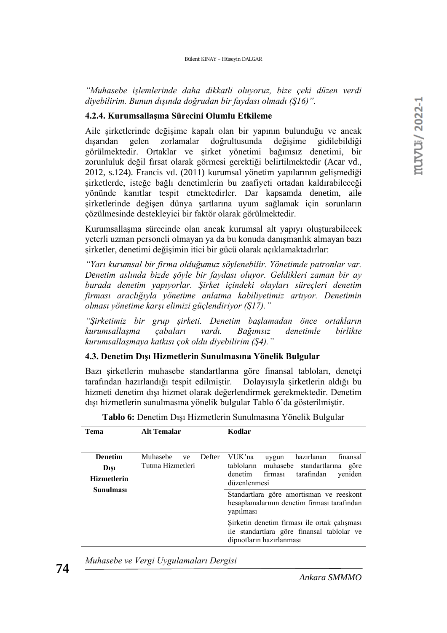*"Muhasebe işlemlerinde daha dikkatli oluyoruz, bize çeki düzen verdi diyebilirim. Bunun dışında doğrudan bir faydası olmadı (Ş16)".* 

#### **4.2.4. Kurumsallaşma Sürecini Olumlu Etkileme**

Aile şirketlerinde değişime kapalı olan bir yapının bulunduğu ve ancak dışarıdan gelen zorlamalar doğrultusunda değişime gidilebildiği görülmektedir. Ortaklar ve şirket yönetimi bağımsız denetimi, bir zorunluluk değil fırsat olarak görmesi gerektiği belirtilmektedir (Acar vd., 2012, s.124). Francis vd. (2011) kurumsal yönetim yapılarının gelişmediği şirketlerde, isteğe bağlı denetimlerin bu zaafiyeti ortadan kaldırabileceği yönünde kanıtlar tespit etmektedirler. Dar kapsamda denetim, aile şirketlerinde değişen dünya şartlarına uyum sağlamak için sorunların çözülmesinde destekleyici bir faktör olarak görülmektedir.

Kurumsallaşma sürecinde olan ancak kurumsal alt yapıyı oluşturabilecek yeterli uzman personeli olmayan ya da bu konuda danışmanlık almayan bazı şirketler, denetimi değişimin itici bir gücü olarak açıklamaktadırlar:

*"Yarı kurumsal bir firma olduğumuz söylenebilir. Yönetimde patronlar var. Denetim aslında bizde şöyle bir faydası oluyor. Geldikleri zaman bir ay burada denetim yapıyorlar. Şirket içindeki olayları süreçleri denetim firması araclığıyla yönetime anlatma kabiliyetimiz artıyor. Denetimin olması yönetime karşı elimizi güçlendiriyor (Ş17)."* 

*"Şirketimiz bir grup şirketi. Denetim başlamadan önce ortakların kurumsallaşma çabaları vardı. Bağımsız denetimle birlikte kurumsallaşmaya katkısı çok oldu diyebilirim (Ş4)."*

#### **4.3. Denetim Dışı Hizmetlerin Sunulmasına Yönelik Bulgular**

Bazı şirketlerin muhasebe standartlarına göre finansal tabloları, denetçi tarafından hazırlandığı tespit edilmiştir. Dolayısıyla şirketlerin aldığı bu hizmeti denetim dışı hizmet olarak değerlendirmek gerekmektedir. Denetim dışı hizmetlerin sunulmasına yönelik bulgular Tablo 6'da gösterilmiştir.

| <b>Denetim</b>     | Muhasebe         |  |                                                                                                                        | ve Defter VUK'na<br>hazırlanan<br>finansal<br>uygun      |
|--------------------|------------------|--|------------------------------------------------------------------------------------------------------------------------|----------------------------------------------------------|
| Dişi               | Tutma Hizmetleri |  |                                                                                                                        | tabloların muhasebe standartlarına<br>göre               |
| <b>Hizmetlerin</b> |                  |  |                                                                                                                        | denetim firması<br>tarafından<br>yeniden<br>düzenlenmesi |
| Sunulması          |                  |  | Standartlara göre amortisman ve reeskont<br>hesaplamalarının denetim firması tarafından<br>yapılması                   |                                                          |
|                    |                  |  | Şirketin denetim firması ile ortak çalışması<br>ile standartlara göre finansal tablolar ve<br>dipnotların hazırlanması |                                                          |

| Tablo 6: Denetim Dışı Hizmetlerin Sunulmasına Yönelik Bulgular |  |
|----------------------------------------------------------------|--|
|----------------------------------------------------------------|--|

*Muhasebe ve Vergi Uygulamaları Dergisi*

**Tema Alt Temalar Kodlar**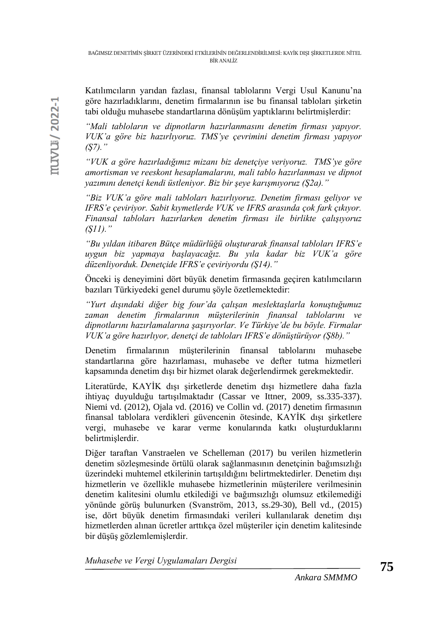Katılımcıların yarıdan fazlası, finansal tablolarını Vergi Usul Kanunu'na göre hazırladıklarını, denetim firmalarının ise bu finansal tabloları şirketin tabi olduğu muhasebe standartlarına dönüşüm yaptıklarını belirtmişlerdir:

*"Mali tabloların ve dipnotların hazırlanmasını denetim firması yapıyor. VUK'a göre biz hazırlıyoruz. TMS'ye çevrimini denetim firması yapıyor (Ş7)."*

*"VUK a göre hazırladığımız mizanı biz denetçiye veriyoruz. TMS'ye göre amortisman ve reeskont hesaplamalarını, mali tablo hazırlanması ve dipnot yazımını denetçi kendi üstleniyor. Biz bir şeye karışmıyoruz (Ş2a)."*

*"Biz VUK'a göre mali tabloları hazırlıyoruz. Denetim firması geliyor ve IFRS'e çeviriyor. Sabit kıymetlerde VUK ve IFRS arasında çok fark çıkıyor. Finansal tabloları hazırlarken denetim firması ile birlikte çalışıyoruz (Ş11)."* 

*"Bu yıldan itibaren Bütçe müdürlüğü oluşturarak finansal tabloları IFRS'e uygun biz yapmaya başlayacağız. Bu yıla kadar biz VUK'a göre düzenliyorduk. Denetçide IFRS'e çeviriyordu (Ş14)."*

Önceki iş deneyimini dört büyük denetim firmasında geçiren katılımcıların bazıları Türkiyedeki genel durumu şöyle özetlemektedir:

*"Yurt dışındaki diğer big four'da çalışan meslektaşlarla konuştuğumuz zaman denetim firmalarının müşterilerinin finansal tablolarını ve dipnotlarını hazırlamalarına şaşırıyorlar. Ve Türkiye'de bu böyle. Firmalar VUK'a göre hazırlıyor, denetçi de tabloları IFRS'e dönüştürüyor (Ş8b)."*

Denetim firmalarının müşterilerinin finansal tablolarını muhasebe standartlarına göre hazırlaması, muhasebe ve defter tutma hizmetleri kapsamında denetim dışı bir hizmet olarak değerlendirmek gerekmektedir.

Literatürde, KAYİK dışı şirketlerde denetim dışı hizmetlere daha fazla ihtiyaç duyulduğu tartışılmaktadır (Cassar ve Ittner, 2009, ss.335-337). Niemi vd. (2012), Ojala vd. (2016) ve Collin vd. (2017) denetim firmasının finansal tablolara verdikleri güvencenin ötesinde, KAYİK dışı şirketlere vergi, muhasebe ve karar verme konularında katkı oluşturduklarını belirtmişlerdir.

Diğer taraftan Vanstraelen ve Schelleman (2017) bu verilen hizmetlerin denetim sözleşmesinde örtülü olarak sağlanmasının denetçinin bağımsızlığı üzerindeki muhtemel etkilerinin tartışıldığını belirtmektedirler. Denetim dışı hizmetlerin ve özellikle muhasebe hizmetlerinin müşterilere verilmesinin denetim kalitesini olumlu etkilediği ve bağımsızlığı olumsuz etkilemediği yönünde görüş bulunurken (Svanström, 2013, ss.29-30), Bell vd., (2015) ise, dört büyük denetim firmasındaki verileri kullanılarak denetim dışı hizmetlerden alınan ücretler arttıkça özel müşteriler için denetim kalitesinde bir düşüş gözlemlemişlerdir.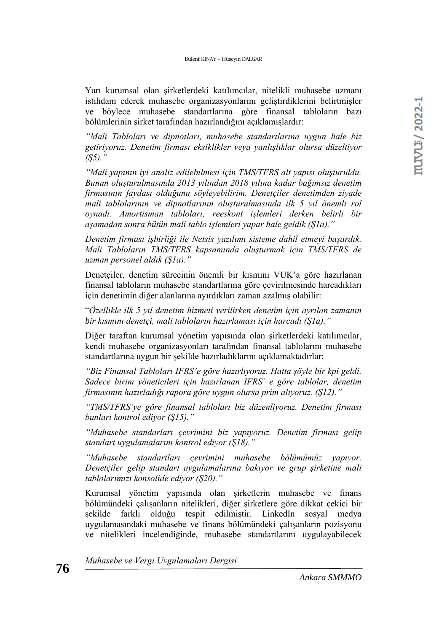Yarı kurumsal olan şirketlerdeki katılımcılar, nitelikli muhasebe uzmanı istihdam ederek muhasebe organizasyonlarını geliştirdiklerini belirtmişler ve böylece muhasebe standartlarına göre finansal tabloların bazı bölümlerinin şirket tarafından hazırlandığını açıklamışlardır:

*"Mali Tabloları ve dipnotları, muhasebe standartlarına uygun hale biz getiriyoruz. Denetim firması eksiklikler veya yanlışlıklar olursa düzeltiyor (Ş5)."*

*"Mali yapının iyi analiz edilebilmesi için TMS/TFRS alt yapısı oluşturuldu. Bunun oluşturulmasında 2013 yılından 2018 yılına kadar bağımsız denetim firmasının faydası olduğunu söyleyebilirim. Denetçiler denetimden ziyade mali tablolarının ve dipnotlarının oluşturulmasında ilk 5 yıl önemli rol oynadı. Amortisman tabloları, reeskont işlemleri derken belirli bir aşamadan sonra bütün mali tablo işlemleri yapar hale geldik (Ş1a)."* 

*Denetim firması işbirliği ile Netsis yazılımı sisteme dahil etmeyi başardık. Mali Tabloların TMS/TFRS kapsamında oluşturmak için TMS/TFRS de uzman personel aldık (Ş1a)."*

Denetçiler, denetim sürecinin önemli bir kısmını VUK'a göre hazırlanan finansal tabloların muhasebe standartlarına göre çevirilmesinde harcadıkları için denetimin diğer alanlarına ayırdıkları zaman azalmış olabilir:

"*Özellikle ilk 5 yıl denetim hizmeti verilirken denetim için ayrılan zamanın bir kısmını denetçi, mali tabloların hazırlaması için harcadı (Ş1a)."*

Diğer taraftan kurumsal yönetim yapısında olan şirketlerdeki katılımcılar, kendi muhasebe organizasyonları tarafından finansal tablolarını muhasebe standartlarına uygun bir şekilde hazırladıklarını açıklamaktadırlar:

*"Biz Finansal Tabloları IFRS'e göre hazırlıyoruz. Hatta şöyle bir kpi geldi. Sadece birim yöneticileri için hazırlanan IFRS' e göre tablolar, denetim firmasının hazırladığı rapora göre uygun olursa prim alıyoruz. (Ş12)."*

*"TMS/TFRS'ye göre finansal tabloları biz düzenliyoruz. Denetim firması bunları kontrol ediyor (Ş15)."*

*"Muhasebe standarları çevrimini biz yapıyoruz. Denetim firması gelip standart uygulamalarını kontrol ediyor (Ş18)."*

*"Muhasebe standartları çevrimini muhasebe bölümümüz yapıyor. Denetçiler gelip standart uygulamalarına bakıyor ve grup şirketine mali tablolarımızı konsolide ediyor (Ş20)."*

Kurumsal yönetim yapısında olan şirketlerin muhasebe ve finans bölümündeki çalışanların nitelikleri, diğer şirketlere göre dikkat çekici bir şekilde farklı olduğu tespit edilmiştir. LinkedIn sosyal medya uygulamasındaki muhasebe ve finans bölümündeki çalışanların pozisyonu ve nitelikleri incelendiğinde, muhasebe standartlarını uygulayabilecek

*Muhasebe ve Vergi Uygulamaları Dergisi*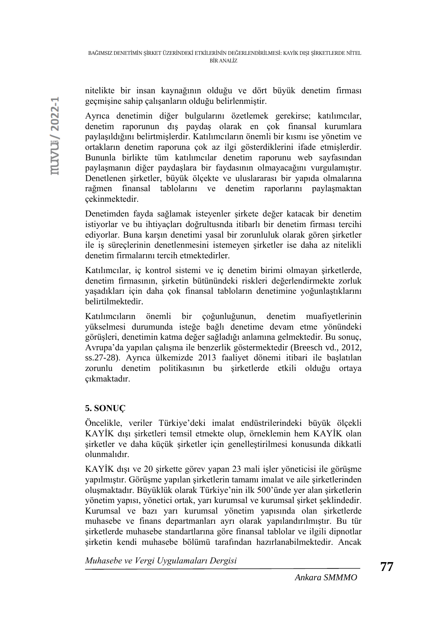nitelikte bir insan kaynağının olduğu ve dört büyük denetim firması geçmişine sahip çalışanların olduğu belirlenmiştir.

Ayrıca denetimin diğer bulgularını özetlemek gerekirse; katılımcılar, denetim raporunun dış paydaş olarak en çok finansal kurumlara paylaşıldığını belirtmişlerdir. Katılımcıların önemli bir kısmı ise yönetim ve ortakların denetim raporuna çok az ilgi gösterdiklerini ifade etmişlerdir. Bununla birlikte tüm katılımcılar denetim raporunu web sayfasından paylaşmanın diğer paydaşlara bir faydasının olmayacağını vurgulamıştır. Denetlenen şirketler, büyük ölçekte ve uluslararası bir yapıda olmalarına rağmen finansal tablolarını ve denetim raporlarını paylaşmaktan çekinmektedir.

Denetimden fayda sağlamak isteyenler şirkete değer katacak bir denetim istiyorlar ve bu ihtiyaçları doğrultusnda itibarlı bir denetim firması tercihi ediyorlar. Buna karşın denetimi yasal bir zorunluluk olarak gören şirketler ile iş süreçlerinin denetlenmesini istemeyen şirketler ise daha az nitelikli denetim firmalarını tercih etmektedirler.

Katılımcılar, iç kontrol sistemi ve iç denetim birimi olmayan şirketlerde, denetim firmasının, şirketin bütünündeki riskleri değerlendirmekte zorluk yaşadıkları için daha çok finansal tabloların denetimine yoğunlaştıklarını belirtilmektedir.

Katılımcıların önemli bir çoğunluğunun, denetim muafiyetlerinin yükselmesi durumunda isteğe bağlı denetime devam etme yönündeki görüşleri, denetimin katma değer sağladığı anlamına gelmektedir. Bu sonuç, Avrupa'da yapılan çalışma ile benzerlik göstermektedir (Breesch vd., 2012, ss.27-28). Ayrıca ülkemizde 2013 faaliyet dönemi itibari ile başlatılan zorunlu denetim politikasının bu şirketlerde etkili olduğu ortaya çıkmaktadır.

# **5. SONUÇ**

Öncelikle, veriler Türkiye'deki imalat endüstrilerindeki büyük ölçekli KAYİK dışı şirketleri temsil etmekte olup, örneklemin hem KAYİK olan şirketler ve daha küçük şirketler için genelleştirilmesi konusunda dikkatli olunmalıdır.

KAYİK dışı ve 20 şirkette görev yapan 23 mali işler yöneticisi ile görüşme yapılmıştır. Görüşme yapılan şirketlerin tamamı imalat ve aile şirketlerinden oluşmaktadır. Büyüklük olarak Türkiye'nin ilk 500'ünde yer alan şirketlerin yönetim yapısı, yönetici ortak, yarı kurumsal ve kurumsal şirket şeklindedir. Kurumsal ve bazı yarı kurumsal yönetim yapısında olan şirketlerde muhasebe ve finans departmanları ayrı olarak yapılandırılmıştır. Bu tür şirketlerde muhasebe standartlarına göre finansal tablolar ve ilgili dipnotlar şirketin kendi muhasebe bölümü tarafından hazırlanabilmektedir. Ancak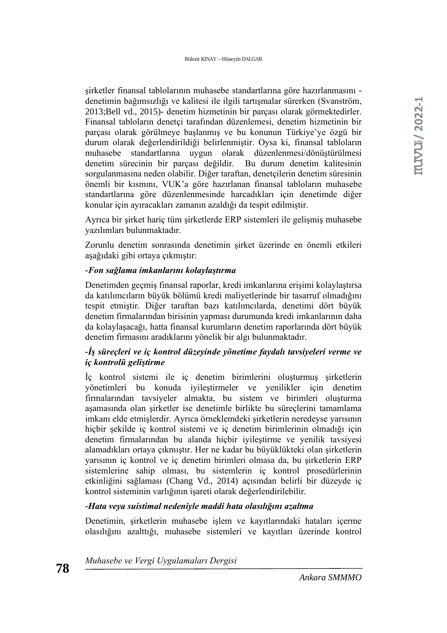şirketler finansal tablolarının muhasebe standartlarına göre hazırlanmasını denetimin bağımsızlığı ve kalitesi ile ilgili tartışmalar sürerken (Svanström, 2013;Bell vd., 2015)- denetim hizmetinin bir parçası olarak görmektedirler. Finansal tabloların denetçi tarafından düzenlemesi, denetim hizmetinin bir parçası olarak görülmeye başlanmış ve bu konunun Türkiye'ye özgü bir durum olarak değerlendirildiği belirlenmiştir. Oysa ki, finansal tabloların muhasebe standartlarına uygun olarak düzenlenmesi/dönüştürülmesi denetim sürecinin bir parçası değildir. Bu durum denetim kalitesinin sorgulanmasına neden olabilir. Diğer taraftan, denetçilerin denetim süresinin önemli bir kısmını, VUK'a göre hazırlanan finansal tabloların muhasebe standartlarına göre düzenlenmesinde harcadıkları için denetimde diğer konular için ayıracakları zamanın azaldığı da tespit edilmiştir.

Ayrıca bir şirket hariç tüm şirketlerde ERP sistemleri ile gelişmiş muhasebe yazılımları bulunmaktadır.

Zorunlu denetim sonrasında denetimin şirket üzerinde en önemli etkileri aşağıdaki gibi ortaya çıkmıştır:

## *-Fon sağlama imkanlarını kolaylaştırma*

Denetimden geçmiş finansal raporlar, kredi imkanlarına erişimi kolaylaştırsa da katılımcıların büyük bölümü kredi maliyetlerinde bir tasarruf olmadığını tespit etmiştir. Diğer taraftan bazı katılımcılarda, denetimi dört büyük denetim firmalarından birisinin yapması durumunda kredi imkanlarının daha da kolaylaşacağı, hatta finansal kurumların denetim raporlarında dört büyük denetim firmasını aradıklarını yönelik bir algı bulunmaktadır.

## *-İş süreçleri ve iç kontrol düzeyinde yönetime faydalı tavsiyeleri verme ve iç kontrolü geliştirme*

İç kontrol sistemi ile iç denetim birimlerini oluşturmuş şirketlerin yönetimleri bu konuda iyileştirmeler ve yenilikler için denetim firmalarından tavsiyeler almakta, bu sistem ve birimleri oluşturma aşamasında olan şirketler ise denetimle birlikte bu süreçlerini tamamlama imkanı elde etmişlerdir. Ayrıca örneklemdeki şirketlerin neredeyse yarısının hiçbir şekilde iç kontrol sistemi ve iç denetim birimlerinin olmadığı için denetim firmalarından bu alanda hiçbir iyileştirme ve yenilik tavsiyesi alamadıkları ortaya çıkmıştır. Her ne kadar bu büyüklükteki olan şirketlerin yarısının iç kontrol ve iç denetim birimleri olmasa da, bu şirketlerin ERP sistemlerine sahip olması, bu sistemlerin iç kontrol prosedürlerinin etkinliğini sağlaması (Chang Vd., 2014) açısından belirli bir düzeyde iç kontrol sisteminin varlığının işareti olarak değerlendirilebilir.

## *-Hata veya suistimal nedeniyle maddi hata olasılığını azaltma*

Denetimin, sirketlerin muhasebe islem ve kayıtlarındaki hataları içerme olasılığını azalttığı, muhasebe sistemleri ve kayıtları üzerinde kontrol

*Muhasebe ve Vergi Uygulamaları Dergisi*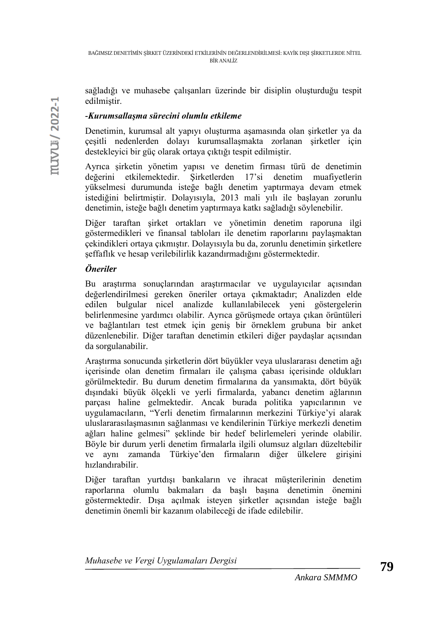sağladığı ve muhasebe çalışanları üzerinde bir disiplin oluşturduğu tespit edilmiştir.

## *-Kurumsallaşma sürecini olumlu etkileme*

Denetimin, kurumsal alt yapıyı oluşturma aşamasında olan şirketler ya da çeşitli nedenlerden dolayı kurumsallaşmakta zorlanan şirketler için destekleyici bir güç olarak ortaya çıktığı tespit edilmiştir.

Ayrıca şirketin yönetim yapısı ve denetim firması türü de denetimin değerini etkilemektedir. Şirketlerden 17'si denetim muafiyetlerin yükselmesi durumunda isteğe bağlı denetim yaptırmaya devam etmek istediğini belirtmiştir. Dolayısıyla, 2013 mali yılı ile başlayan zorunlu denetimin, isteğe bağlı denetim yaptırmaya katkı sağladığı söylenebilir.

Diğer taraftan şirket ortakları ve yönetimin denetim raporuna ilgi göstermedikleri ve finansal tabloları ile denetim raporlarını paylaşmaktan çekindikleri ortaya çıkmıştır. Dolayısıyla bu da, zorunlu denetimin şirketlere şeffaflık ve hesap verilebilirlik kazandırmadığını göstermektedir.

## *Öneriler*

Bu araştırma sonuçlarından araştırmacılar ve uygulayıcılar açısından değerlendirilmesi gereken öneriler ortaya çıkmaktadır; Analizden elde edilen bulgular nicel analizde kullanılabilecek yeni göstergelerin belirlenmesine yardımcı olabilir. Ayrıca görüşmede ortaya çıkan örüntüleri ve bağlantıları test etmek için geniş bir örneklem grubuna bir anket düzenlenebilir. Diğer taraftan denetimin etkileri diğer paydaşlar açısından da sorgulanabilir.

Araştırma sonucunda şirketlerin dört büyükler veya uluslararası denetim ağı içerisinde olan denetim firmaları ile çalışma çabası içerisinde oldukları görülmektedir. Bu durum denetim firmalarına da yansımakta, dört büyük dışındaki büyük ölçekli ve yerli firmalarda, yabancı denetim ağlarının parçası haline gelmektedir. Ancak burada politika yapıcılarının ve uygulamacıların, "Yerli denetim firmalarının merkezini Türkiye'yi alarak uluslararasılaşmasının sağlanması ve kendilerinin Türkiye merkezli denetim ağları haline gelmesi" şeklinde bir hedef belirlemeleri yerinde olabilir. Böyle bir durum yerli denetim firmalarla ilgili olumsuz algıları düzeltebilir ve aynı zamanda Türkiye'den firmaların diğer ülkelere girişini hızlandırabilir.

Diğer taraftan yurtdışı bankaların ve ihracat müşterilerinin denetim raporlarına olumlu bakmaları da başlı başına denetimin önemini göstermektedir. Dışa açılmak isteyen şirketler açısından isteğe bağlı denetimin önemli bir kazanım olabileceği de ifade edilebilir.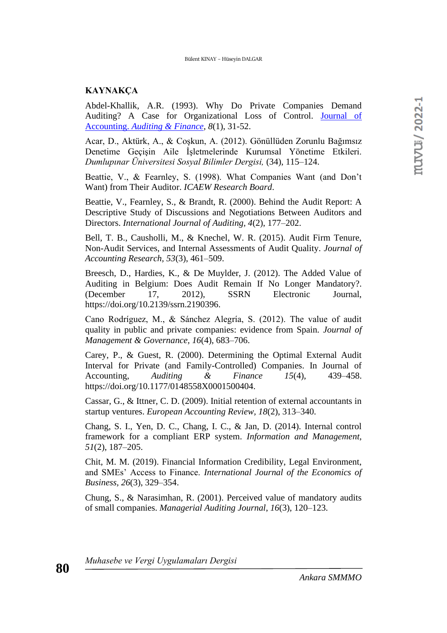#### **KAYNAKÇA**

Abdel-Khallik, A.R. (1993). Why Do Private Companies Demand Auditing? A Case for Organizational Loss of Control. [Journal of](https://www.econbiz.de/Record/journal-of-accounting-auditing-finance/10008380460)  Accounting. *[Auditing & Finance](https://www.econbiz.de/Record/journal-of-accounting-auditing-finance/10008380460)*, *8*(1), 31-52.

Acar, D., Aktürk, A., & Coşkun, A. (2012). Gönüllüden Zorunlu Bağımsız Denetime Geçişin Aile İşletmelerinde Kurumsal Yönetime Etkileri. *Dumlupınar Üniversitesi Sosyal Bilimler Dergisi,* (34), 115–124.

Beattie, V., & Fearnley, S. (1998). What Companies Want (and Don't Want) from Their Auditor. *ICAEW Research Board*.

Beattie, V., Fearnley, S., & Brandt, R. (2000). Behind the Audit Report: A Descriptive Study of Discussions and Negotiations Between Auditors and Directors. *International Journal of Auditing, 4*(2), 177–202.

Bell, T. B., Causholli, M., & Knechel, W. R. (2015). Audit Firm Tenure, Non-Audit Services, and Internal Assessments of Audit Quality. *Journal of Accounting Research, 53*(3), 461–509.

Breesch, D., Hardies, K., & De Muylder, J. (2012). The Added Value of Auditing in Belgium: Does Audit Remain If No Longer Mandatory?. (December 17, 2012), SSRN Electronic Journal, https://doi.org/10.2139/ssrn.2190396.

Cano Rodríguez, M., & Sánchez Alegría, S. (2012). The value of audit quality in public and private companies: evidence from Spain. *Journal of Management & Governance, 16*(4), 683–706.

Carey, P., & Guest, R. (2000). Determining the Optimal External Audit Interval for Private (and Family-Controlled) Companies. In Journal of Accounting, *Auditing & Finance 15*(4), 439–458. https://doi.org/10.1177/0148558X0001500404.

Cassar, G., & Ittner, C. D. (2009). Initial retention of external accountants in startup ventures. *European Accounting Review, 18*(2), 313–340.

Chang, S. I., Yen, D. C., Chang, I. C., & Jan, D. (2014). Internal control framework for a compliant ERP system. *Information and Management, 51*(2), 187–205.

Chit, M. M. (2019). Financial Information Credibility, Legal Environment, and SMEs' Access to Finance. *International Journal of the Economics of Business, 26*(3), 329–354.

Chung, S., & Narasimhan, R. (2001). Perceived value of mandatory audits of small companies. *Managerial Auditing Journal*, *16*(3), 120–123.

*Muhasebe ve Vergi Uygulamaları Dergisi*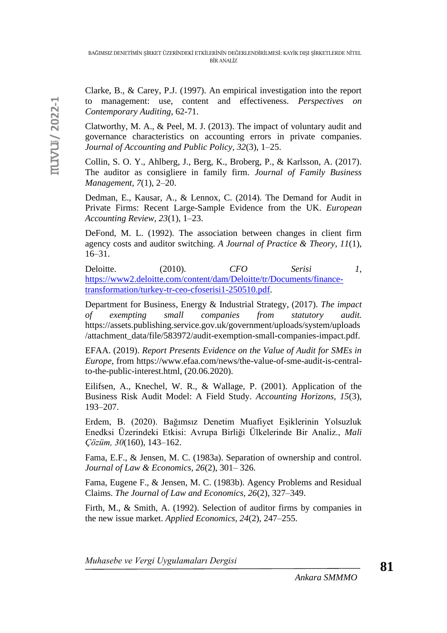Clarke, B., & Carey, P.J. (1997). An empirical investigation into the report to management: use, content and effectiveness. *Perspectives on Contemporary Auditing*, 62-71.

Clatworthy, M. A., & Peel, M. J. (2013). The impact of voluntary audit and governance characteristics on accounting errors in private companies. *Journal of Accounting and Public Policy, 32*(3), 1–25.

Collin, S. O. Y., Ahlberg, J., Berg, K., Broberg, P., & Karlsson, A. (2017). The auditor as consigliere in family firm. *Journal of Family Business Management, 7*(1), 2–20.

Dedman, E., Kausar, A., & Lennox, C. (2014). The Demand for Audit in Private Firms: Recent Large-Sample Evidence from the UK. *European Accounting Review, 23*(1), 1–23.

DeFond, M. L. (1992). The association between changes in client firm agency costs and auditor switching. *A Journal of Practice & Theory*, *11*(1), 16–31.

Deloitte. (2010). *CFO* Serisi 1, [https://www2.deloitte.com/content/dam/Deloitte/tr/Documents/finance](https://www2.deloitte.com/content/dam/Deloitte/tr/Documents/finance-transformation/turkey-tr-ceo-cfoserisi1-250510.pdf)[transformation/turkey-tr-ceo-cfoserisi1-250510.pdf.](https://www2.deloitte.com/content/dam/Deloitte/tr/Documents/finance-transformation/turkey-tr-ceo-cfoserisi1-250510.pdf)

Department for Business, Energy & Industrial Strategy, (2017). *The impact of exempting small companies from statutory audit.* https://assets.publishing.service.gov.uk/government/uploads/system/uploads /attachment\_data/file/583972/audit-exemption-small-companies-impact.pdf.

EFAA. (2019). *Report Presents Evidence on the Value of Audit for SMEs in Europe*, from https://www.efaa.com/news/the-value-of-sme-audit-is-centralto-the-public-interest.html, (20.06.2020).

Eilifsen, A., Knechel, W. R., & Wallage, P. (2001). Application of the Business Risk Audit Model: A Field Study. *Accounting Horizons, 15*(3), 193–207.

Erdem, B. (2020). Bağımsız Denetim Muafiyet Eşiklerinin Yolsuzluk Enedksi Üzerindeki Etkisi: Avrupa Birliği Ülkelerinde Bir Analiz., *Mali Çözüm, 30*(160), 143–162.

Fama, E.F., & Jensen, M. C. (1983a). Separation of ownership and control. *Journal of Law & Economics, 26*(2), 301– 326.

Fama, Eugene F., & Jensen, M. C. (1983b). Agency Problems and Residual Claims. *The Journal of Law and Economics, 26*(2), 327–349.

Firth, M., & Smith, A. (1992). Selection of auditor firms by companies in the new issue market. *Applied Economics, 24*(2), 247–255.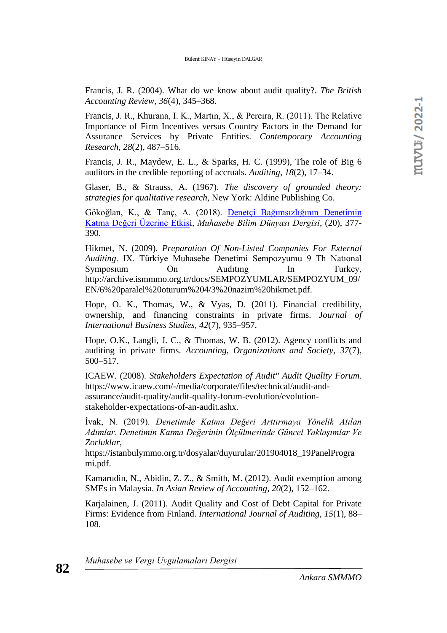Francis, J. R. (2004). What do we know about audit quality?. *The British Accounting Review, 36*(4), 345–368.

Francis, J. R., Khurana, I. K., Martın, X., & Pereıra, R. (2011). The Relative Importance of Firm Incentives versus Country Factors in the Demand for Assurance Services by Private Entities. *Contemporary Accounting Research, 28*(2), 487–516.

Francis, J. R., Maydew, E. L., & Sparks, H. C. (1999), The role of Big 6 auditors in the credible reporting of accruals. *Auditing, 18*(2), 17–34.

Glaser, B., & Strauss, A. (1967). *The discovery of grounded theory: strategies for qualitative research*, New York: Aldine Publishing Co.

Gökoğlan, K., & Tanç, A. (2018). [Denetçi Bağımsızlığının Denetimin](javascript:void(0))  [Katma Değeri Üzerine Etkisi](javascript:void(0)), *Muhasebe Bilim Dünyası Dergisi*, (20), 377- 390.

Hikmet, N. (2009). *Preparation Of Non-Listed Companies For External Auditing*. IX. Türkiye Muhasebe Denetimi Sempozyumu 9 Th Natıonal Symposium On Auditing In Turkey, http://archive.ismmmo.org.tr/docs/SEMPOZYUMLAR/SEMPOZYUM\_09/ EN/6%20paralel%20oturum%204/3%20nazim%20hikmet.pdf.

Hope, O. K., Thomas, W., & Vyas, D. (2011). Financial credibility, ownership, and financing constraints in private firms. J*ournal of International Business Studies, 42*(7), 935–957.

Hope, O.K., Langli, J. C., & Thomas, W. B. (2012). Agency conflicts and auditing in private firms. *Accounting, Organizations and Society, 37*(7), 500–517.

ICAEW. (2008). *Stakeholders Expectation of Audit" Audit Quality Forum*. https://www.icaew.com/-/media/corporate/files/technical/audit-andassurance/audit-quality/audit-quality-forum-evolution/evolutionstakeholder-expectations-of-an-audit.ashx.

İvak, N. (2019). *Denetimde Katma Değeri Arttırmaya Yönelik Atılan Adımlar. Denetimin Katma Değerinin Ölçülmesinde Güncel Yaklaşımlar Ve Zorluklar*,

https://istanbulymmo.org.tr/dosyalar/duyurular/201904018\_19PanelProgra mi.pdf.

Kamarudin, N., Abidin, Z. Z., & Smith, M. (2012). Audit exemption among SMEs in Malaysia. *In Asian Review of Accounting, 20*(2), 152–162.

Karjalainen, J. (2011). Audit Quality and Cost of Debt Capital for Private Firms: Evidence from Finland. *International Journal of Auditing, 15*(1), 88– 108.

*Muhasebe ve Vergi Uygulamaları Dergisi*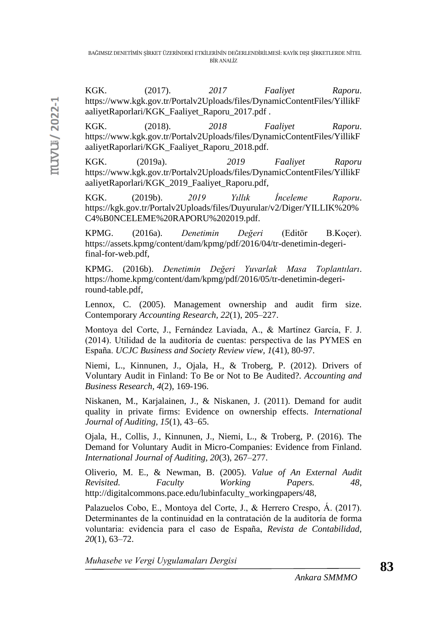KGK. (2017). *2017 Faaliyet Raporu*. https://www.kgk.gov.tr/Portalv2Uploads/files/DynamicContentFiles/YillikF aaliyetRaporlari/KGK\_Faaliyet\_Raporu\_2017.pdf .

KGK. (2018). *2018 Faaliyet Raporu*. https://www.kgk.gov.tr/Portalv2Uploads/files/DynamicContentFiles/YillikF aaliyetRaporlari/KGK\_Faaliyet\_Raporu\_2018.pdf.

KGK. (2019a). *2019 Faaliyet Raporu* https://www.kgk.gov.tr/Portalv2Uploads/files/DynamicContentFiles/YillikF aaliyetRaporlari/KGK\_2019\_Faaliyet\_Raporu.pdf,

KGK. (2019b). *2019 Yıllık İnceleme Raporu*. https://kgk.gov.tr/Portalv2Uploads/files/Duyurular/v2/Diger/YILLIK%20% C4%B0NCELEME%20RAPORU%202019.pdf.

KPMG. (2016a). *Denetimin Değeri* (Editör B.Koçer). https://assets.kpmg/content/dam/kpmg/pdf/2016/04/tr-denetimin-degerifinal-for-web.pdf,

KPMG. (2016b). *Denetimin Değeri Yuvarlak Masa Toplantıları*. https://home.kpmg/content/dam/kpmg/pdf/2016/05/tr-denetimin-degeriround-table.pdf,

Lennox, C. (2005). Management ownership and audit firm size. Contemporary *Accounting Research, 22*(1), 205–227.

Montoya del Corte, J., Fernández Laviada, A., & Martínez García, F. J. (2014). Utilidad de la auditoría de cuentas: perspectiva de las PYMES en España. *UCJC Business and Society Review view, 1*(41), 80-97.

Niemi, L., Kinnunen, J., Ojala, H., & Troberg, P. (2012). Drivers of Voluntary Audit in Finland: To Be or Not to Be Audited?. *Accounting and Business Research, 4*(2), 169-196.

Niskanen, M., Karjalainen, J., & Niskanen, J. (2011). Demand for audit quality in private firms: Evidence on ownership effects. *International Journal of Auditing, 15*(1), 43–65.

Ojala, H., Collis, J., Kinnunen, J., Niemi, L., & Troberg, P. (2016). The Demand for Voluntary Audit in Micro-Companies: Evidence from Finland. *International Journal of Auditing, 20*(3), 267–277.

Oliverio, M. E., & Newman, B. (2005). *Value of An External Audit Revisited. Faculty Working Papers. 48*, http://digitalcommons.pace.edu/lubinfaculty\_workingpapers/48,

Palazuelos Cobo, E., Montoya del Corte, J., & Herrero Crespo, Á. (2017). Determinantes de la continuidad en la contratación de la auditoría de forma voluntaria: evidencia para el caso de España, *Revista de Contabilidad, 20*(1), 63–72.